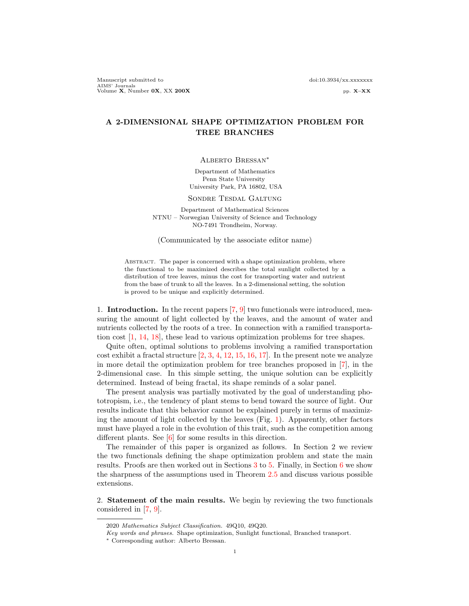Manuscript submitted to doi:10.3934/xx.xxxxxxx AIMS' Journals<br>Volume **X**, Number 0**X**, XX 200**X** pp. X–XX

# A 2-DIMENSIONAL SHAPE OPTIMIZATION PROBLEM FOR TREE BRANCHES

#### Alberto Bressan∗

Department of Mathematics Penn State University University Park, PA 16802, USA

### Sondre Tesdal Galtung

Department of Mathematical Sciences NTNU – Norwegian University of Science and Technology NO-7491 Trondheim, Norway.

(Communicated by the associate editor name)

ABSTRACT. The paper is concerned with a shape optimization problem, where the functional to be maximized describes the total sunlight collected by a distribution of tree leaves, minus the cost for transporting water and nutrient from the base of trunk to all the leaves. In a 2-dimensional setting, the solution is proved to be unique and explicitly determined.

1. **Introduction.** In the recent papers  $(7, 9)$  two functionals were introduced, measuring the amount of light collected by the leaves, and the amount of water and nutrients collected by the roots of a tree. In connection with a ramified transportation cost [\[1,](#page-28-2) [14,](#page-28-3) [18\]](#page-28-4), these lead to various optimization problems for tree shapes.

Quite often, optimal solutions to problems involving a ramified transportation cost exhibit a fractal structure  $\left[2, 3, 4, 12, 15, 16, 17\right]$  $\left[2, 3, 4, 12, 15, 16, 17\right]$  $\left[2, 3, 4, 12, 15, 16, 17\right]$  $\left[2, 3, 4, 12, 15, 16, 17\right]$  $\left[2, 3, 4, 12, 15, 16, 17\right]$  $\left[2, 3, 4, 12, 15, 16, 17\right]$  $\left[2, 3, 4, 12, 15, 16, 17\right]$  $\left[2, 3, 4, 12, 15, 16, 17\right]$  $\left[2, 3, 4, 12, 15, 16, 17\right]$  $\left[2, 3, 4, 12, 15, 16, 17\right]$  $\left[2, 3, 4, 12, 15, 16, 17\right]$ . In the present note we analyze in more detail the optimization problem for tree branches proposed in [\[7\]](#page-28-0), in the 2-dimensional case. In this simple setting, the unique solution can be explicitly determined. Instead of being fractal, its shape reminds of a solar panel.

The present analysis was partially motivated by the goal of understanding phototropism, i.e., the tendency of plant stems to bend toward the source of light. Our results indicate that this behavior cannot be explained purely in terms of maximizing the amount of light collected by the leaves (Fig. [1\)](#page-1-0). Apparently, other factors must have played a role in the evolution of this trait, such as the competition among different plants. See [\[6\]](#page-28-12) for some results in this direction.

The remainder of this paper is organized as follows. In Section 2 we review the two functionals defining the shape optimization problem and state the main results. Proofs are then worked out in Sections [3](#page-7-0) to [5.](#page-24-0) Finally, in Section [6](#page-25-0) we show the sharpness of the assumptions used in Theorem [2.5](#page-4-0) and discuss various possible extensions.

2. Statement of the main results. We begin by reviewing the two functionals considered in [\[7,](#page-28-0) [9\]](#page-28-1).

<sup>2020</sup> Mathematics Subject Classification. 49Q10, 49Q20.

Key words and phrases. Shape optimization, Sunlight functional, Branched transport.

<sup>∗</sup> Corresponding author: Alberto Bressan.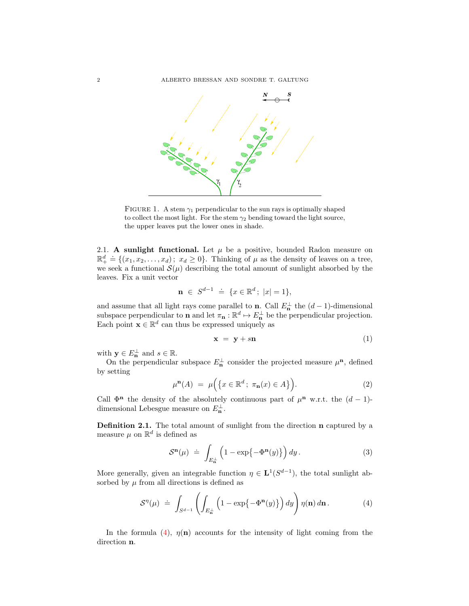

<span id="page-1-0"></span>FIGURE 1. A stem  $\gamma_1$  perpendicular to the sun rays is optimally shaped to collect the most light. For the stem  $\gamma_2$  bending toward the light source, the upper leaves put the lower ones in shade.

2.1. A sunlight functional. Let  $\mu$  be a positive, bounded Radon measure on  $\mathbb{R}^d_+ \doteq \{(x_1, x_2, \ldots, x_d) ; x_d \geq 0\}.$  Thinking of  $\mu$  as the density of leaves on a tree, we seek a functional  $\mathcal{S}(\mu)$  describing the total amount of sunlight absorbed by the leaves. Fix a unit vector

$$
\mathbf{n} \in S^{d-1} \doteq \{x \in \mathbb{R}^d \, ; \, |x| = 1\},
$$

and assume that all light rays come parallel to **n**. Call  $E_n^{\perp}$  the  $(d-1)$ -dimensional subspace perpendicular to **n** and let  $\pi_n : \mathbb{R}^d \to E_n^{\perp}$  be the perpendicular projection. Each point  $\mathbf{x} \in \mathbb{R}^d$  can thus be expressed uniquely as

$$
\mathbf{x} = \mathbf{y} + s\mathbf{n} \tag{1}
$$

with  $y \in E_n^{\perp}$  and  $s \in \mathbb{R}$ .

On the perpendicular subspace  $E_n^{\perp}$  consider the projected measure  $\mu^n$ , defined by setting

$$
\mu^{\mathbf{n}}(A) = \mu\Big(\big\{x \in \mathbb{R}^d \, ; \, \pi_{\mathbf{n}}(x) \in A\big\}\Big). \tag{2}
$$

Call  $\Phi$ <sup>n</sup> the density of the absolutely continuous part of  $\mu$ <sup>n</sup> w.r.t. the  $(d-1)$ dimensional Lebesgue measure on  $E_{\mathbf{n}}^{\perp}$ .

Definition 2.1. The total amount of sunlight from the direction n captured by a measure  $\mu$  on  $\mathbb{R}^d$  is defined as

<span id="page-1-2"></span>
$$
\mathcal{S}^{\mathbf{n}}(\mu) \doteq \int_{E_{\mathbf{n}}^{\perp}} \left( 1 - \exp\{-\Phi^{\mathbf{n}}(y)\} \right) dy. \tag{3}
$$

More generally, given an integrable function  $\eta \in L^1(S^{d-1})$ , the total sunlight absorbed by  $\mu$  from all directions is defined as

<span id="page-1-1"></span>
$$
S^{\eta}(\mu) \doteq \int_{S^{d-1}} \left( \int_{E_{\mathbf{n}}^{\perp}} \left( 1 - \exp\{-\Phi^{\mathbf{n}}(y)\} \right) dy \right) \eta(\mathbf{n}) d\mathbf{n} \,. \tag{4}
$$

In the formula [\(4\)](#page-1-1),  $\eta(\mathbf{n})$  accounts for the intensity of light coming from the direction n.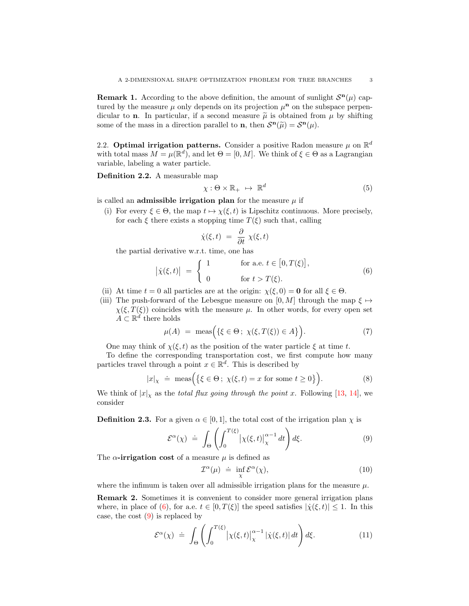<span id="page-2-4"></span>**Remark 1.** According to the above definition, the amount of sunlight  $S<sup>n</sup>(\mu)$  captured by the measure  $\mu$  only depends on its projection  $\mu^{n}$  on the subspace perpendicular to **n**. In particular, if a second measure  $\tilde{\mu}$  is obtained from  $\mu$  by shifting some of the mass in a direction parallel to **n**, then  $\mathcal{S}^{\mathbf{n}}(\tilde{\mu}) = \mathcal{S}^{\mathbf{n}}(\mu)$ .

2.2. Optimal irrigation patterns. Consider a positive Radon measure  $\mu$  on  $\mathbb{R}^d$ with total mass  $M = \mu(\mathbb{R}^d)$ , and let  $\Theta = [0, M]$ . We think of  $\xi \in \Theta$  as a Lagrangian variable, labeling a water particle.

Definition 2.2. A measurable map

$$
\chi: \Theta \times \mathbb{R}_+ \ \mapsto \ \mathbb{R}^d \tag{5}
$$

is called an **admissible irrigation plan** for the measure  $\mu$  if

(i) For every  $\xi \in \Theta$ , the map  $t \mapsto \chi(\xi, t)$  is Lipschitz continuous. More precisely, for each  $\xi$  there exists a stopping time  $T(\xi)$  such that, calling

$$
\dot{\chi}(\xi,t) = \frac{\partial}{\partial t} \chi(\xi,t)
$$

the partial derivative w.r.t. time, one has

<span id="page-2-0"></span>
$$
\left|\dot{\chi}(\xi,t)\right| \ = \ \begin{cases} \ 1 & \text{for a.e. } t \in [0,T(\xi)], \\ \ 0 & \text{for } t > T(\xi). \end{cases} \tag{6}
$$

- (ii) At time  $t = 0$  all particles are at the origin:  $\chi(\xi, 0) = \mathbf{0}$  for all  $\xi \in \Theta$ .
- (iii) The push-forward of the Lebesgue measure on [0, M] through the map  $\xi \mapsto$  $\chi(\xi, T(\xi))$  coincides with the measure  $\mu$ . In other words, for every open set  $A \subset \mathbb{R}^d$  there holds

$$
\mu(A) = \text{meas}\Big(\{\xi \in \Theta \, ; \, \chi(\xi, T(\xi)) \in A\}\Big). \tag{7}
$$

One may think of  $\chi(\xi, t)$  as the position of the water particle  $\xi$  at time t.

To define the corresponding transportation cost, we first compute how many particles travel through a point  $x \in \mathbb{R}^d$ . This is described by

<span id="page-2-5"></span>
$$
|x|_{\chi} \doteq \text{meas}\Big(\big\{\xi \in \Theta \, ; \, \chi(\xi, t) = x \text{ for some } t \ge 0\big\}\Big). \tag{8}
$$

We think of  $|x|_x$  as the *total flux going through the point x*. Following [\[13,](#page-28-13) [14\]](#page-28-3), we consider

**Definition 2.3.** For a given  $\alpha \in [0, 1]$ , the total cost of the irrigation plan  $\chi$  is

<span id="page-2-1"></span>
$$
\mathcal{E}^{\alpha}(\chi) \doteq \int_{\Theta} \left( \int_0^{T(\xi)} \left| \chi(\xi, t) \right|_{\chi}^{\alpha - 1} dt \right) d\xi. \tag{9}
$$

The  $\alpha$ -irrigation cost of a measure  $\mu$  is defined as

<span id="page-2-3"></span>
$$
\mathcal{I}^{\alpha}(\mu) \doteq \inf_{\chi} \mathcal{E}^{\alpha}(\chi), \tag{10}
$$

where the infimum is taken over all admissible irrigation plans for the measure  $\mu$ .

Remark 2. Sometimes it is convenient to consider more general irrigation plans where, in place of [\(6\)](#page-2-0), for a.e.  $t \in [0, T(\xi)]$  the speed satisfies  $|\dot{\chi}(\xi, t)| \leq 1$ . In this case, the cost  $(9)$  is replaced by

<span id="page-2-2"></span>
$$
\mathcal{E}^{\alpha}(\chi) \doteq \int_{\Theta} \left( \int_0^{T(\xi)} \left| \chi(\xi, t) \right|_{\chi}^{\alpha - 1} \left| \dot{\chi}(\xi, t) \right| dt \right) d\xi. \tag{11}
$$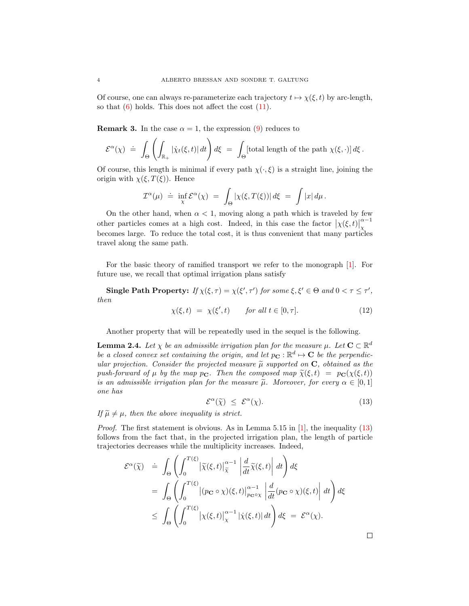Of course, one can always re-parameterize each trajectory  $t \mapsto \chi(\xi, t)$  by arc-length, so that  $(6)$  holds. This does not affect the cost  $(11)$ .

**Remark 3.** In the case  $\alpha = 1$ , the expression [\(9\)](#page-2-1) reduces to

$$
\mathcal{E}^{\alpha}(\chi) \doteq \int_{\Theta} \left( \int_{\mathbb{R}_{+}} |\dot{\chi}_{t}(\xi, t)| dt \right) d\xi = \int_{\Theta} [\text{total length of the path } \chi(\xi, \cdot)] d\xi.
$$

Of course, this length is minimal if every path  $\chi(\cdot,\xi)$  is a straight line, joining the origin with  $\chi(\xi, T(\xi))$ . Hence

$$
\mathcal{I}^{\alpha}(\mu) \; = \; \inf_{\chi} \mathcal{E}^{\alpha}(\chi) \; = \; \int_{\Theta} |\chi(\xi,T(\xi))| \, d\xi \; = \; \int |x| \, d\mu \, .
$$

On the other hand, when  $\alpha < 1$ , moving along a path which is traveled by few other particles comes at a high cost. Indeed, in this case the factor  $|\chi(\xi, t)|$  $\alpha-1$ χ becomes large. To reduce the total cost, it is thus convenient that many particles travel along the same path.

For the basic theory of ramified transport we refer to the monograph [\[1\]](#page-28-2). For future use, we recall that optimal irrigation plans satisfy

Single Path Property: If  $\chi(\xi, \tau) = \chi(\xi', \tau')$  for some  $\xi, \xi' \in \Theta$  and  $0 < \tau \leq \tau'$ , then

$$
\chi(\xi, t) = \chi(\xi', t) \quad \text{for all } t \in [0, \tau]. \tag{12}
$$

Another property that will be repeatedly used in the sequel is the following.

<span id="page-3-1"></span>**Lemma 2.4.** Let  $\chi$  be an admissible irrigation plan for the measure  $\mu$ . Let  $\mathbf{C} \subset \mathbb{R}^d$ be a closed convex set containing the origin, and let  $p_{\mathbf{C}} : \mathbb{R}^d \mapsto \mathbf{C}$  be the perpendicular projection. Consider the projected measure  $\tilde{\mu}$  supported on **C**, obtained as the push-forward of  $\mu$  by the map  $p_{\mathbf{C}}$ . Then the composed map  $\widetilde{\chi}(\xi, t) = p_{\mathbf{C}}(\chi(\xi, t))$ is an admissible irrigation plan for the measure  $\tilde{\mu}$ . Moreover, for every  $\alpha \in [0,1]$ one has

<span id="page-3-0"></span>
$$
\mathcal{E}^{\alpha}(\tilde{\chi}) \leq \mathcal{E}^{\alpha}(\chi). \tag{13}
$$

If  $\widetilde{\mu} \neq \mu$ , then the above inequality is strict.

*Proof.* The first statement is obvious. As in Lemma 5.15 in [\[1\]](#page-28-2), the inequality [\(13\)](#page-3-0) follows from the fact that, in the projected irrigation plan, the length of particle trajectories decreases while the multiplicity increases. Indeed,

$$
\mathcal{E}^{\alpha}(\tilde{\chi}) = \int_{\Theta} \left( \int_{0}^{T(\xi)} |\tilde{\chi}(\xi, t)|_{\tilde{\chi}}^{\alpha-1} \left| \frac{d}{dt} \tilde{\chi}(\xi, t) \right| dt \right) d\xi
$$
  
\n
$$
= \int_{\Theta} \left( \int_{0}^{T(\xi)} |(p_{\mathbf{C}} \circ \chi)(\xi, t)|_{p_{\mathbf{C}} \circ \chi}^{\alpha-1} \left| \frac{d}{dt} (p_{\mathbf{C}} \circ \chi)(\xi, t) \right| dt \right) d\xi
$$
  
\n
$$
\leq \int_{\Theta} \left( \int_{0}^{T(\xi)} |\chi(\xi, t)|_{\chi}^{\alpha-1} |\dot{\chi}(\xi, t)| dt \right) d\xi = \mathcal{E}^{\alpha}(\chi).
$$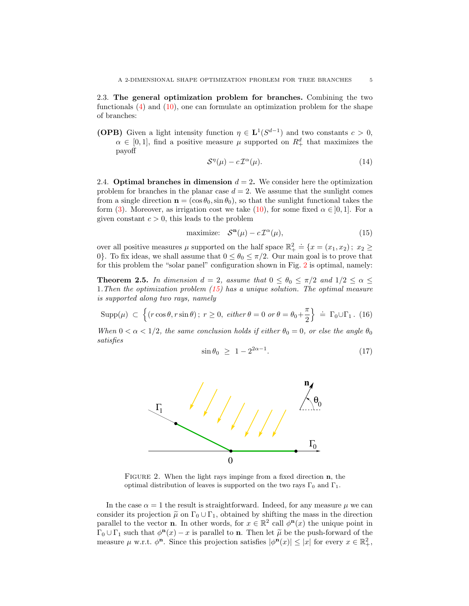2.3. The general optimization problem for branches. Combining the two functionals [\(4\)](#page-1-1) and [\(10\)](#page-2-3), one can formulate an optimization problem for the shape of branches:

**(OPB)** Given a light intensity function  $\eta \in L^1(S^{d-1})$  and two constants  $c > 0$ ,  $\alpha \in [0,1]$ , find a positive measure  $\mu$  supported on  $R_+^d$  that maximizes the payoff

$$
\mathcal{S}^{\eta}(\mu) - c \, \mathcal{I}^{\alpha}(\mu). \tag{14}
$$

2.4. Optimal branches in dimension  $d = 2$ . We consider here the optimization problem for branches in the planar case  $d = 2$ . We assume that the sunlight comes from a single direction  $\mathbf{n} = (\cos \theta_0, \sin \theta_0)$ , so that the sunlight functional takes the form [\(3\)](#page-1-2). Moreover, as irrigation cost we take [\(10\)](#page-2-3), for some fixed  $\alpha \in ]0,1]$ . For a given constant  $c > 0$ , this leads to the problem

<span id="page-4-2"></span>
$$
\text{maximize:} \quad \mathcal{S}^{\mathbf{n}}(\mu) - c \, \mathcal{I}^{\alpha}(\mu), \tag{15}
$$

over all positive measures  $\mu$  supported on the half space  $\mathbb{R}^2_+ \doteq \{x = (x_1, x_2) ; x_2 \geq 0\}$ 0. To fix ideas, we shall assume that  $0 \le \theta_0 \le \pi/2$ . Our main goal is to prove that for this problem the "solar panel" configuration shown in Fig. [2](#page-4-1) is optimal, namely:

<span id="page-4-0"></span>**Theorem 2.5.** In dimension  $d = 2$ , assume that  $0 \le \theta_0 \le \pi/2$  and  $1/2 \le \alpha \le$ 1.Then the optimization problem [\(15\)](#page-4-2) has a unique solution. The optimal measure is supported along two rays, namely

$$
\text{Supp}(\mu) \ \subset \ \Big\{ (r \cos \theta, r \sin \theta) \, ; \ r \ge 0, \ \text{either } \theta = 0 \text{ or } \theta = \theta_0 + \frac{\pi}{2} \Big\} \ \doteq \ \Gamma_0 \cup \Gamma_1 \ . \tag{16}
$$

When  $0 < \alpha < 1/2$ , the same conclusion holds if either  $\theta_0 = 0$ , or else the angle  $\theta_0$ satisfies

<span id="page-4-3"></span>
$$
\sin \theta_0 \ge 1 - 2^{2\alpha - 1}.\tag{17}
$$



<span id="page-4-1"></span>FIGURE 2. When the light rays impinge from a fixed direction **n**, the optimal distribution of leaves is supported on the two rays  $\Gamma_0$  and  $\Gamma_1$ .

In the case  $\alpha = 1$  the result is straightforward. Indeed, for any measure  $\mu$  we can consider its projection  $\tilde{\mu}$  on  $\Gamma_0 \cup \Gamma_1$ , obtained by shifting the mass in the direction parallel to the vector **n**. In other words, for  $x \in \mathbb{R}^2$  call  $\phi^{\mathbf{n}}(x)$  the unique point in  $\Gamma_0 \cup \Gamma_1$  such that  $\phi^{\mathbf{n}}(x) - x$  is parallel to **n**. Then let  $\widetilde{\mu}$  be the push-forward of the monogroup  $\mu$  w.r.t.  $\phi^{\mathbf{n}}$ . Since this projection optiofies  $|\phi^{\mathbf{n}}(x)| \leq |x|$  for every  $x \in \mathbb{R}^2$ measure  $\mu$  w.r.t.  $\phi^{\mathbf{n}}$ . Since this projection satisfies  $|\phi^{\mathbf{n}}(x)| \leq |x|$  for every  $x \in \mathbb{R}^2_+$ ,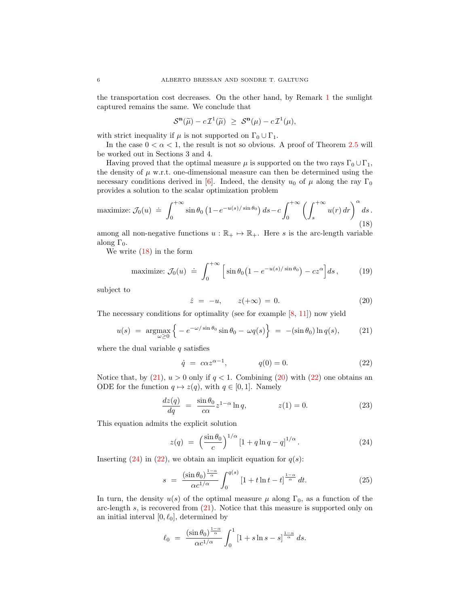the transportation cost decreases. On the other hand, by Remark [1](#page-2-4) the sunlight captured remains the same. We conclude that

$$
\mathcal{S}^{\mathbf{n}}(\widetilde{\mu})-c\,\mathcal{I}^{1}(\widetilde{\mu})\ \geq\ \mathcal{S}^{\mathbf{n}}(\mu)-c\,\mathcal{I}^{1}(\mu),
$$

with strict inequality if  $\mu$  is not supported on  $\Gamma_0 \cup \Gamma_1$ .

In the case  $0 < \alpha < 1$ , the result is not so obvious. A proof of Theorem [2.5](#page-4-0) will be worked out in Sections 3 and 4.

Having proved that the optimal measure  $\mu$  is supported on the two rays  $\Gamma_0 \cup \Gamma_1$ , the density of  $\mu$  w.r.t. one-dimensional measure can then be determined using the necessary conditions derived in [\[6\]](#page-28-12). Indeed, the density  $u_0$  of  $\mu$  along the ray  $\Gamma_0$ provides a solution to the scalar optimization problem

<span id="page-5-0"></span>
$$
\text{maximize: } \mathcal{J}_0(u) \; \doteq \; \int_0^{+\infty} \sin \theta_0 \left( 1 - e^{-u(s)/\sin \theta_0} \right) ds - c \int_0^{+\infty} \left( \int_s^{+\infty} u(r) \, dr \right)^\alpha ds \,. \tag{18}
$$

among all non-negative functions  $u : \mathbb{R}_+ \to \mathbb{R}_+$ . Here s is the arc-length variable along  $\Gamma_0$ .

We write  $(18)$  in the form

maximize: 
$$
\mathcal{J}_0(u) \doteq \int_0^{+\infty} \left[ \sin \theta_0 \left( 1 - e^{-u(s)/\sin \theta_0} \right) - cz^{\alpha} \right] ds
$$
, (19)

subject to

<span id="page-5-2"></span>
$$
\dot{z} = -u, \qquad z(+\infty) = 0.
$$
 (20)

The necessary conditions for optimality (see for example  $[8, 11]$  $[8, 11]$ ) now yield

<span id="page-5-1"></span>
$$
u(s) = \arg\max_{\omega \ge 0} \left\{ -e^{-\omega/\sin\theta_0} \sin\theta_0 - \omega q(s) \right\} = -(\sin\theta_0) \ln q(s), \quad (21)
$$

where the dual variable  $q$  satisfies

<span id="page-5-3"></span>
$$
\dot{q} = c\alpha z^{\alpha - 1}, \qquad q(0) = 0. \tag{22}
$$

Notice that, by  $(21)$ ,  $u > 0$  only if  $q < 1$ . Combining  $(20)$  with  $(22)$  one obtains an ODE for the function  $q \mapsto z(q)$ , with  $q \in [0, 1]$ . Namely

$$
\frac{dz(q)}{dq} = \frac{\sin \theta_0}{c\alpha} z^{1-\alpha} \ln q, \qquad z(1) = 0. \tag{23}
$$

This equation admits the explicit solution

<span id="page-5-4"></span>
$$
z(q) = \left(\frac{\sin \theta_0}{c}\right)^{1/\alpha} \left[1 + q \ln q - q\right]^{1/\alpha}.
$$
 (24)

Inserting [\(24\)](#page-5-4) in [\(22\)](#page-5-3), we obtain an implicit equation for  $q(s)$ :

$$
s = \frac{(\sin \theta_0)^{\frac{1-\alpha}{\alpha}}}{\alpha c^{1/\alpha}} \int_0^{q(s)} \left[1 + t \ln t - t\right]^{\frac{1-\alpha}{\alpha}} dt. \tag{25}
$$

In turn, the density  $u(s)$  of the optimal measure  $\mu$  along  $\Gamma_0$ , as a function of the arc-length  $s$ , is recovered from  $(21)$ . Notice that this measure is supported only on an initial interval  $[0, \ell_0]$ , determined by

$$
\ell_0 = \frac{(\sin \theta_0)^{\frac{1-\alpha}{\alpha}}}{\alpha c^{1/\alpha}} \int_0^1 \left[1 + s \ln s - s\right]^{\frac{1-\alpha}{\alpha}} ds.
$$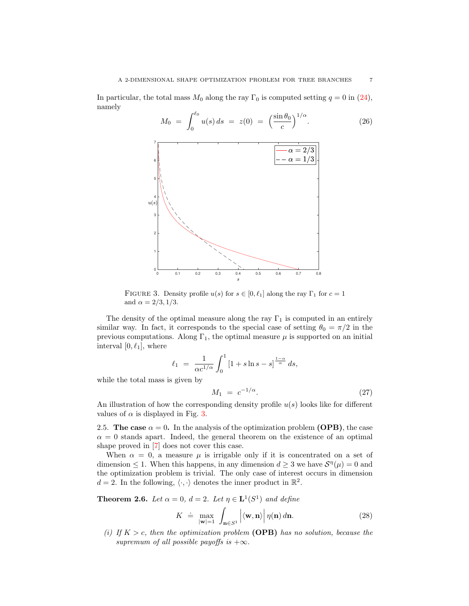In particular, the total mass  $M_0$  along the ray  $\Gamma_0$  is computed setting  $q = 0$  in [\(24\)](#page-5-4), namely

<span id="page-6-2"></span>

<span id="page-6-0"></span>FIGURE 3. Density profile  $u(s)$  for  $s \in [0, \ell_1]$  along the ray  $\Gamma_1$  for  $c = 1$ and  $\alpha = 2/3, 1/3$ .

The density of the optimal measure along the ray  $\Gamma_1$  is computed in an entirely similar way. In fact, it corresponds to the special case of setting  $\theta_0 = \pi/2$  in the previous computations. Along  $\Gamma_1$ , the optimal measure  $\mu$  is supported on an initial interval  $[0, \ell_1]$ , where

$$
\ell_1 = \frac{1}{\alpha c^{1/\alpha}} \int_0^1 \left[1 + s \ln s - s\right]^{\frac{1-\alpha}{\alpha}} ds,
$$
  
is given by

while the total mass is gi

<span id="page-6-3"></span>
$$
M_1 = c^{-1/\alpha}.
$$
 (27)

An illustration of how the corresponding density profile  $u(s)$  looks like for different values of  $\alpha$  is displayed in Fig. [3.](#page-6-0)

2.5. The case  $\alpha = 0$ . In the analysis of the optimization problem (OPB), the case  $\alpha = 0$  stands apart. Indeed, the general theorem on the existence of an optimal shape proved in [\[7\]](#page-28-0) does not cover this case.

When  $\alpha = 0$ , a measure  $\mu$  is irrigable only if it is concentrated on a set of dimension  $\leq 1$ . When this happens, in any dimension  $d \geq 3$  we have  $\mathcal{S}^{\eta}(\mu) = 0$  and the optimization problem is trivial. The only case of interest occurs in dimension  $d = 2$ . In the following,  $\langle \cdot, \cdot \rangle$  denotes the inner product in  $\mathbb{R}^2$ .

<span id="page-6-1"></span>**Theorem 2.6.** Let  $\alpha = 0$ ,  $d = 2$ . Let  $\eta \in \mathbf{L}^1(S^1)$  and define

$$
K \doteq \max_{|\mathbf{w}|=1} \int_{\mathbf{n} \in S^1} \left| \langle \mathbf{w}, \mathbf{n} \rangle \right| \eta(\mathbf{n}) \, d\mathbf{n}.\tag{28}
$$

(i) If  $K > c$ , then the optimization problem (OPB) has no solution, because the supremum of all possible payoffs is  $+\infty$ .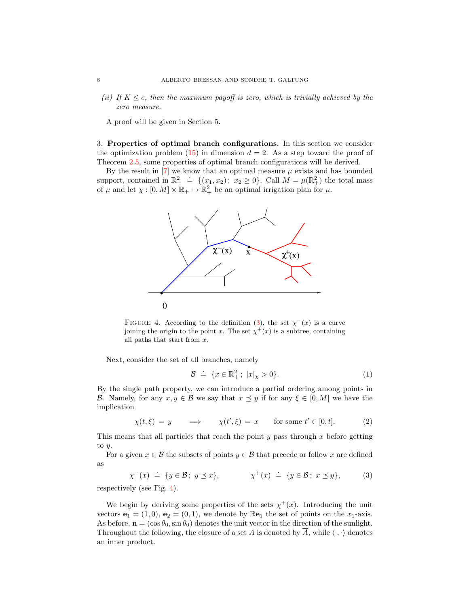(ii) If  $K \leq c$ , then the maximum payoff is zero, which is trivially achieved by the zero measure.

A proof will be given in Section 5.

<span id="page-7-0"></span>3. Properties of optimal branch configurations. In this section we consider the optimization problem  $(15)$  in dimension  $d = 2$ . As a step toward the proof of Theorem [2.5,](#page-4-0) some properties of optimal branch configurations will be derived.

By the result in  $[7]$  we know that an optimal measure  $\mu$  exists and has bounded support, contained in  $\mathbb{R}^2_+ \doteq \{(x_1, x_2) ; x_2 \ge 0\}$ . Call  $M = \mu(\mathbb{R}^2_+)$  the total mass of  $\mu$  and let  $\chi : [0, M] \times \mathbb{R}_+ \mapsto \mathbb{R}_+^2$  be an optimal irrigation plan for  $\mu$ .



<span id="page-7-2"></span>FIGURE 4. According to the definition [\(3\)](#page-7-1), the set  $\chi^{-}(x)$  is a curve joining the origin to the point x. The set  $\chi^+(x)$  is a subtree, containing all paths that start from x.

Next, consider the set of all branches, namely

$$
\mathcal{B} \ \doteq \ \{x \in \mathbb{R}^2_+ \, ; \ |x|_x > 0\}.\tag{1}
$$

By the single path property, we can introduce a partial ordering among points in B. Namely, for any  $x, y \in \mathcal{B}$  we say that  $x \preceq y$  if for any  $\xi \in [0, M]$  we have the implication

 $\chi(t,\xi) = y \implies \chi(t',\xi) = x \text{ for some } t' \in [0,t].$  (2)

This means that all particles that reach the point  $y$  pass through  $x$  before getting to  $y$ .

For a given  $x \in \mathcal{B}$  the subsets of points  $y \in \mathcal{B}$  that precede or follow x are defined as

<span id="page-7-1"></span>
$$
\chi^{-}(x) \doteq \{ y \in \mathcal{B} \, ; \, y \preceq x \}, \qquad \chi^{+}(x) \doteq \{ y \in \mathcal{B} \, ; \, x \preceq y \}, \tag{3}
$$

respectively (see Fig. [4\)](#page-7-2).

We begin by deriving some properties of the sets  $\chi^+(x)$ . Introducing the unit vectors  $\mathbf{e}_1 = (1, 0), \mathbf{e}_2 = (0, 1),$  we denote by  $\mathbb{R}\mathbf{e}_1$  the set of points on the  $x_1$ -axis. As before,  $\mathbf{n} = (\cos \theta_0, \sin \theta_0)$  denotes the unit vector in the direction of the sunlight. Throughout the following, the closure of a set A is denoted by  $\overline{A}$ , while  $\langle \cdot, \cdot \rangle$  denotes an inner product.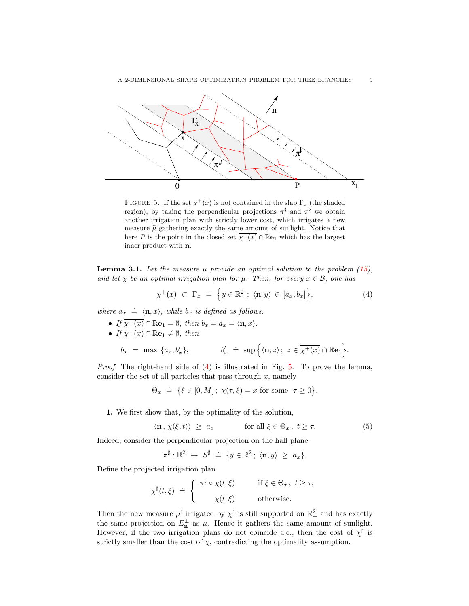

<span id="page-8-1"></span>FIGURE 5. If the set  $\chi^+(x)$  is not contained in the slab  $\Gamma_x$  (the shaded region), by taking the perpendicular projections  $\pi^{\sharp}$  and  $\pi^{\flat}$  we obtain another irrigation plan with strictly lower cost, which irrigates a new measure  $\tilde{\mu}$  gathering exactly the same amount of sunlight. Notice that here P is the point in the closed set  $\overline{\chi^+(x)} \cap \mathbb{R}e_1$  which has the largest inner product with n.

<span id="page-8-2"></span>**Lemma 3.1.** Let the measure  $\mu$  provide an optimal solution to the problem [\(15\)](#page-4-2), and let  $\chi$  be an optimal irrigation plan for  $\mu$ . Then, for every  $x \in \mathcal{B}$ , one has

<span id="page-8-0"></span>
$$
\chi^+(x) \subset \Gamma_x \doteq \left\{ y \in \mathbb{R}_+^2 \, ; \, \langle \mathbf{n}, y \rangle \in [a_x, b_x] \right\},\tag{4}
$$

where  $a_x \doteq \langle \mathbf{n}, x \rangle$ , while  $b_x$  is defined as follows.

- If  $\overline{\chi^+(x)} \cap \mathbb{R}\mathbf{e}_1 = \emptyset$ , then  $b_x = a_x = \langle \mathbf{n}, x \rangle$ .
- If  $\overline{\chi^+(x)} \cap \mathbb{R}\mathbf{e}_1 \neq \emptyset$ , then

$$
b_x = \max \{a_x, b'_x\}, \qquad b'_x \doteq \sup \Big\{\langle {\bf n}, z\rangle\, ; \ z \in \overline{\chi^+(x)} \cap \mathbb{R}{\bf e}_1\Big\}.
$$

*Proof.* The right-hand side of  $(4)$  is illustrated in Fig. [5.](#page-8-1) To prove the lemma, consider the set of all particles that pass through  $x$ , namely

$$
\Theta_x \doteq \{\xi \in [0, M]; \ \chi(\tau, \xi) = x \text{ for some } \ \tau \ge 0\}.
$$

1. We first show that, by the optimality of the solution,

$$
\langle \mathbf{n}, \chi(\xi, t) \rangle \ge a_x \quad \text{for all } \xi \in \Theta_x, \ t \ge \tau. \tag{5}
$$

Indeed, consider the perpendicular projection on the half plane

$$
\pi^{\sharp}: \mathbb{R}^2 \ \mapsto \ S^{\sharp} \ \doteq \ \{y \in \mathbb{R}^2 \, ; \ \langle {\bf n}, y \rangle \ \geq \ a_x \}.
$$

Define the projected irrigation plan

$$
\chi^{\sharp}(t,\xi) \doteq \begin{cases} \pi^{\sharp} \circ \chi(t,\xi) & \text{if } \xi \in \Theta_x, \ t \geq \tau, \\ \chi(t,\xi) & \text{otherwise.} \end{cases}
$$

Then the new measure  $\mu^{\sharp}$  irrigated by  $\chi^{\sharp}$  is still supported on  $\mathbb{R}^2_+$  and has exactly the same projection on  $E_{\mathbf{n}}^{\perp}$  as  $\mu$ . Hence it gathers the same amount of sunlight. However, if the two irrigation plans do not coincide a.e., then the cost of  $\chi^{\sharp}$  is strictly smaller than the cost of  $\chi$ , contradicting the optimality assumption.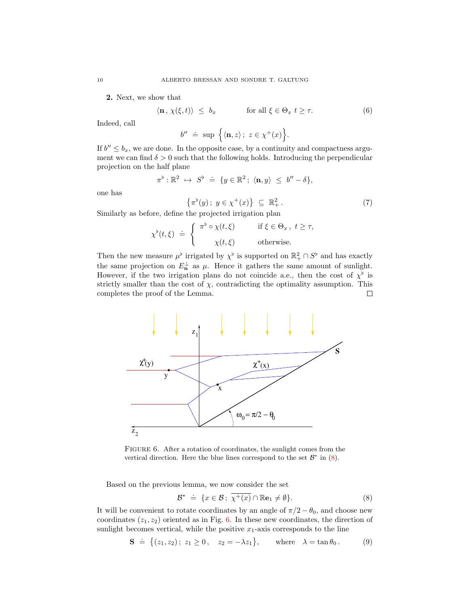2. Next, we show that

$$
\langle \mathbf{n}, \, \chi(\xi, t) \rangle \leq b_x \qquad \text{for all } \xi \in \Theta_x \ t \geq \tau. \tag{6}
$$

Indeed, call

$$
b'' \ \doteq \ \sup \ \Big\{ \langle {\bf n}, z \rangle \, ; \ z \in \chi^+(x) \Big\}.
$$

If  $b'' \leq b_x$ , we are done. In the opposite case, by a continuity and compactness argument we can find  $\delta > 0$  such that the following holds. Introducing the perpendicular projection on the half plane

$$
\pi^{\flat} : \mathbb{R}^2 \ \mapsto \ S^{\flat} \ \doteq \ \{y \in \mathbb{R}^2 \, ; \ \langle \mathbf{n}, y \rangle \ \leq \ b^{\prime\prime} - \delta \},
$$

one has

$$
\left\{\pi^{\flat}(y)\,;\ y \in \chi^{+}(x)\right\} \ \subseteq \ \mathbb{R}^{2}_{+} \tag{7}
$$

Similarly as before, define the projected irrigation plan

$$
\chi^{\flat}(t,\xi) \doteq \begin{cases} \pi^{\flat} \circ \chi(t,\xi) & \text{if } \xi \in \Theta_x, \ t \geq \tau, \\ \chi(t,\xi) & \text{otherwise.} \end{cases}
$$

Then the new measure  $\mu^{\flat}$  irrigated by  $\chi^{\flat}$  is supported on  $\mathbb{R}^2_+ \cap S^{\flat}$  and has exactly the same projection on  $E_{\mathbf{n}}^{\perp}$  as  $\mu$ . Hence it gathers the same amount of sunlight. However, if the two irrigation plans do not coincide a.e., then the cost of  $\chi^{\flat}$  is strictly smaller than the cost of  $\chi$ , contradicting the optimality assumption. This completes the proof of the Lemma. П



<span id="page-9-1"></span>FIGURE 6. After a rotation of coordinates, the sunlight comes from the vertical direction. Here the blue lines correspond to the set  $\mathcal{B}^*$  in  $(8)$ .

Based on the previous lemma, we now consider the set

<span id="page-9-0"></span>
$$
\mathcal{B}^* \ \doteq \ \{x \in \mathcal{B} \, ; \, \overline{\chi^+(x)} \cap \mathbb{R}\mathbf{e}_1 \neq \emptyset \}. \tag{8}
$$

It will be convenient to rotate coordinates by an angle of  $\pi/2 - \theta_0$ , and choose new coordinates  $(z_1, z_2)$  oriented as in Fig. [6.](#page-9-1) In these new coordinates, the direction of sunlight becomes vertical, while the positive  $x_1$ -axis corresponds to the line

$$
\mathbf{S} \; \doteq \; \big\{ (z_1, z_2) \, ; \; z_1 \ge 0 \, , \quad z_2 = -\lambda z_1 \big\}, \qquad \text{where} \quad \lambda = \tan \theta_0 \, . \tag{9}
$$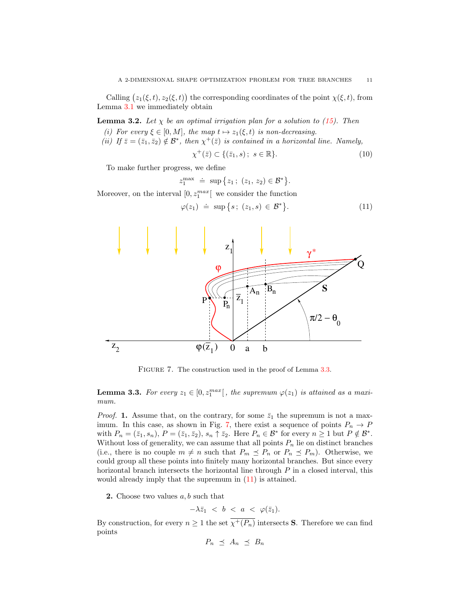Calling  $(z_1(\xi, t), z_2(\xi, t))$  the corresponding coordinates of the point  $\chi(\xi, t)$ , from Lemma [3.1](#page-8-2) we immediately obtain

**Lemma 3.2.** Let  $\chi$  be an optimal irrigation plan for a solution to [\(15\)](#page-4-2). Then

- (i) For every  $\xi \in [0, M]$ , the map  $t \mapsto z_1(\xi, t)$  is non-decreasing.
- (ii) If  $\bar{z} = (\bar{z}_1, \bar{z}_2) \notin \mathcal{B}^*$ , then  $\chi^+(\bar{z})$  is contained in a horizontal line. Namely,

$$
\chi^+(\bar{z}) \subset \{(\bar{z}_1, s); \ s \in \mathbb{R}\}.
$$
\n
$$
(10)
$$

To make further progress, we define

$$
z_1^{\max} \doteq \sup \{ z_1 \, ; \, (z_1, z_2) \in \mathcal{B}^* \}.
$$

Moreover, on the interval  $[0, z_1^{max}]$  we consider the function

<span id="page-10-2"></span>
$$
\varphi(z_1) \doteq \sup \{ s \, ; \, (z_1, s) \in \mathcal{B}^* \}.
$$
 (11)



<span id="page-10-1"></span>FIGURE 7. The construction used in the proof of Lemma [3.3.](#page-10-0)

<span id="page-10-0"></span>**Lemma 3.3.** For every  $z_1 \in [0, z_1^{max}]$ , the supremum  $\varphi(z_1)$  is attained as a maximum.

*Proof.* 1. Assume that, on the contrary, for some  $\bar{z}_1$  the supremum is not a max-imum. In this case, as shown in Fig. [7,](#page-10-1) there exist a sequence of points  $P_n \to P$ with  $P_n = (\bar{z}_1, s_n)$ ,  $P = (\bar{z}_1, \bar{z}_2)$ ,  $s_n \uparrow \bar{z}_2$ . Here  $P_n \in \mathcal{B}^*$  for every  $n \ge 1$  but  $P \notin \mathcal{B}^*$ . Without loss of generality, we can assume that all points  $P_n$  lie on distinct branches (i.e., there is no couple  $m \neq n$  such that  $P_m \preceq P_n$  or  $P_n \preceq P_m$ ). Otherwise, we could group all these points into finitely many horizontal branches. But since every horizontal branch intersects the horizontal line through  $P$  in a closed interval, this would already imply that the supremum in [\(11\)](#page-10-2) is attained.

**2.** Choose two values  $a, b$  such that

$$
-\lambda \bar{z}_1 < b < a < \varphi(\bar{z}_1).
$$

By construction, for every  $n \geq 1$  the set  $\overline{\chi^+(P_n)}$  intersects **S**. Therefore we can find points

$$
P_n \preceq A_n \preceq B_n
$$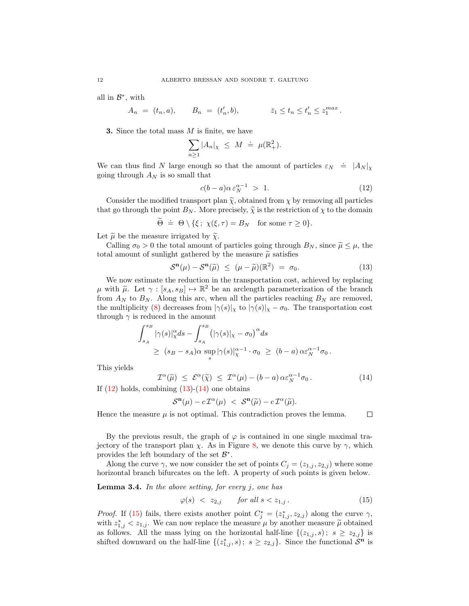all in  $\mathcal{B}^*$ , with

$$
A_n = (t_n, a), \qquad B_n = (t'_n, b), \qquad \qquad \bar{z}_1 \le t_n \le t'_n \le z_1^{max}.
$$

**3.** Since the total mass  $M$  is finite, we have

$$
\sum_{n\geq 1} |A_n|_{\chi} \leq M \doteq \mu(\mathbb{R}^2_+).
$$

We can thus find N large enough so that the amount of particles  $\varepsilon_N = |A_N|_{\chi}$ going through  $A_N$  is so small that

<span id="page-11-0"></span>
$$
c(b-a)\alpha \, \varepsilon_N^{\alpha-1} > 1. \tag{12}
$$

Consider the modified transport plan  $\widetilde{\chi}$ , obtained from  $\chi$  by removing all particles that go through the point  $B_N$ . More precisely,  $\tilde{\chi}$  is the restriction of  $\chi$  to the domain

$$
\widetilde{\Theta} \doteq \Theta \setminus \{\xi\, ; \ \chi(\xi,\tau) = B_N \quad \text{for some } \tau \ge 0\}.
$$

Let  $\tilde{\mu}$  be the measure irrigated by  $\tilde{\chi}$ .

Calling  $\sigma_0 > 0$  the total amount of particles going through  $B_N$ , since  $\tilde{\mu} \leq \mu$ , the total amount of sunlight gathered by the measure  $\widetilde{\mu}$  satisfies

<span id="page-11-1"></span>
$$
S^{\mathbf{n}}(\mu) - S^{\mathbf{n}}(\widetilde{\mu}) \leq (\mu - \widetilde{\mu})(\mathbb{R}^2) = \sigma_0.
$$
 (13)

We now estimate the reduction in the transportation cost, achieved by replacing  $\mu$  with  $\tilde{\mu}$ . Let  $\gamma : [s_A, s_B] \mapsto \mathbb{R}^2$  be an arclength parameterization of the branch<br>from  $A_{\lambda}$  to  $B_{\lambda}$ . Along this arc when all the particles reaching  $B_{\lambda}$  are removed from  $A_N$  to  $B_N$ . Along this arc, when all the particles reaching  $B_N$  are removed, the multiplicity [\(8\)](#page-2-5) decreases from  $|\gamma(s)|_x$  to  $|\gamma(s)|_x - \sigma_0$ . The transportation cost through  $\gamma$  is reduced in the amount

$$
\int_{s_A}^{s_B} |\gamma(s)|_{\chi}^{\alpha} ds - \int_{s_A}^{s_B} (|\gamma(s)|_{\chi} - \sigma_0)^{\alpha} ds
$$
  
\n
$$
\geq (s_B - s_A)\alpha \sup_s |\gamma(s)|_{\chi}^{\alpha - 1} \cdot \sigma_0 \geq (b - a) \alpha \varepsilon_N^{\alpha - 1} \sigma_0.
$$

This yields

$$
\mathcal{I}^{\alpha}(\widetilde{\mu}) \leq \mathcal{E}^{\alpha}(\widetilde{\chi}) \leq \mathcal{I}^{\alpha}(\mu) - (b - a) \alpha \varepsilon_N^{\alpha - 1} \sigma_0.
$$
\nIf (12) holds, combining (13)-(14) one obtains

<span id="page-11-2"></span>
$$
\mathcal{S}^{\mathbf{n}}(\mu) - c\,\mathcal{I}^{\alpha}(\mu) \ < \ \mathcal{S}^{\mathbf{n}}(\widetilde{\mu}) - c\,\mathcal{I}^{\alpha}(\widetilde{\mu}).
$$

Hence the measure  $\mu$  is not optimal. This contradiction proves the lemma.  $\Box$ 

By the previous result, the graph of  $\varphi$  is contained in one single maximal trajectory of the transport plan  $\chi$ . As in Figure [8,](#page-12-0) we denote this curve by  $\gamma$ , which provides the left boundary of the set  $\mathcal{B}^*$ .

Along the curve  $\gamma$ , we now consider the set of points  $C_j = (z_{1,j}, z_{2,j})$  where some horizontal branch bifurcates on the left. A property of such points is given below.

<span id="page-11-4"></span>**Lemma 3.4.** In the above setting, for every  $j$ , one has

<span id="page-11-3"></span>
$$
\varphi(s) \ < \ z_{2,j} \qquad \text{for all } s < z_{1,j} \,. \tag{15}
$$

*Proof.* If [\(15\)](#page-11-3) fails, there exists another point  $C_j^* = (z_{1,j}^*, z_{2,j})$  along the curve  $\gamma$ , with  $z_{1,j}^* < z_{1,j}$ . We can now replace the measure  $\mu$  by another measure  $\tilde{\mu}$  obtained as follows. All the mass lying on the horizontal half-line  $\{(z_{1,j}, s) ; s \geq z_{2,j}\}\)$ shifted downward on the half-line  $\{(z_{1,j}^*, s) ; s \geq z_{2,j}\}\$ . Since the functional  $\mathcal{S}^{\mathbf{n}}$  is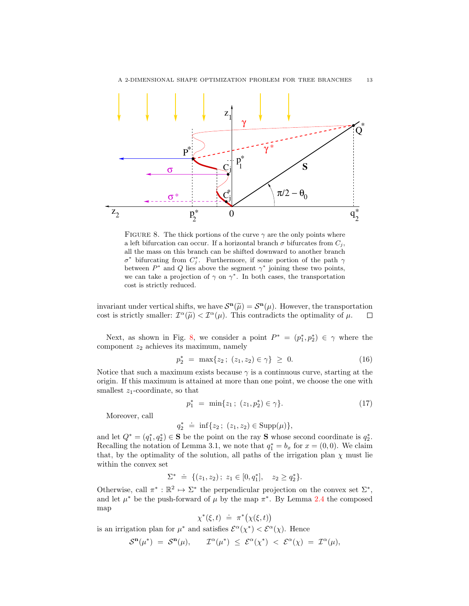

<span id="page-12-0"></span>FIGURE 8. The thick portions of the curve  $\gamma$  are the only points where a left bifurcation can occur. If a horizontal branch  $\sigma$  bifurcates from  $C_j$ , all the mass on this branch can be shifted downward to another branch  $\sigma^*$  bifurcating from  $C_j^*$ . Furthermore, if some portion of the path  $\gamma$ between  $P^*$  and Q lies above the segment  $\gamma^*$  joining these two points, we can take a projection of  $\gamma$  on  $\gamma^*$ . In both cases, the transportation cost is strictly reduced.

invariant under vertical shifts, we have  $S^{\mathbf{n}}(\tilde{\mu}) = S^{\mathbf{n}}(\mu)$ . However, the transportation cost is strictly emaller:  $T^{\alpha}(\tilde{\mu}) \leq T^{\alpha}(\mu)$ . This contradicts the optimality of  $\mu$ cost is strictly smaller:  $\mathcal{I}^{\alpha}(\tilde{\mu}) < \mathcal{I}^{\alpha}(\mu)$ . This contradicts the optimality of  $\mu$ .  $\Box$ 

Next, as shown in Fig. [8,](#page-12-0) we consider a point  $P^* = (p_1^*, p_2^*) \in \gamma$  where the component  $z_2$  achieves its maximum, namely

<span id="page-12-1"></span>
$$
p_2^* = \max\{z_2 \, ; \, (z_1, z_2) \in \gamma\} \geq 0. \tag{16}
$$

Notice that such a maximum exists because  $\gamma$  is a continuous curve, starting at the origin. If this maximum is attained at more than one point, we choose the one with smallest  $z_1$ -coordinate, so that

$$
p_1^* = \min\{z_1 \, ; \, (z_1, p_2^*) \in \gamma\}.\tag{17}
$$

Moreover, call

 $q_2^* \doteq \inf\{z_2\,;\; (z_1, z_2) \in \text{Supp}(\mu)\},$ 

and let  $Q^* = (q_1^*, q_2^*) \in \mathbf{S}$  be the point on the ray  $\mathbf{S}$  whose second coordinate is  $q_2^*$ . Recalling the notation of Lemma 3.1, we note that  $q_1^* = b_x$  for  $x = (0,0)$ . We claim that, by the optimality of the solution, all paths of the irrigation plan  $\chi$  must lie within the convex set

$$
\Sigma^* \ \doteq \ \{ (z_1, z_2) \, ; \ z_1 \in [0, q_1^*], \quad z_2 \ge q_2^* \}.
$$

Otherwise, call  $\pi^*: \mathbb{R}^2 \mapsto \Sigma^*$  the perpendicular projection on the convex set  $\Sigma^*$ , and let  $\mu^*$  be the push-forward of  $\mu$  by the map  $\pi^*$ . By Lemma [2.4](#page-3-1) the composed map

$$
\chi^*(\xi, t) \doteq \pi^*(\chi(\xi, t))
$$

is an irrigation plan for  $\mu^*$  and satisfies  $\mathcal{E}^{\alpha}(\chi^*) < \mathcal{E}^{\alpha}(\chi)$ . Hence

$$
\mathcal{S}^{\mathbf{n}}(\mu^*) = \mathcal{S}^{\mathbf{n}}(\mu), \qquad \mathcal{I}^{\alpha}(\mu^*) \leq \mathcal{E}^{\alpha}(\chi^*) < \mathcal{E}^{\alpha}(\chi) = \mathcal{I}^{\alpha}(\mu),
$$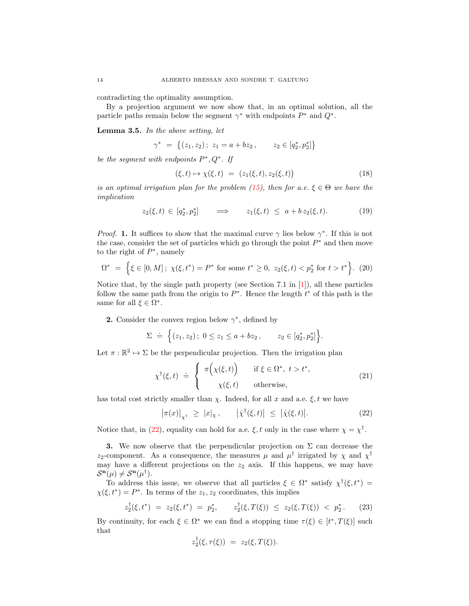contradicting the optimality assumption.

By a projection argument we now show that, in an optimal solution, all the particle paths remain below the segment  $\gamma^*$  with endpoints  $P^*$  and  $Q^*$ .

<span id="page-13-1"></span>Lemma 3.5. In the above setting, let

$$
\gamma^* = \left\{ (z_1, z_2) \, ; \, z_1 = a + bz_2 \, , \qquad z_2 \in [q_2^*, p_2^*] \right\}
$$

be the segment with endpoints  $P^*, Q^*$ . If

$$
(\xi, t) \mapsto \chi(\xi, t) = (z_1(\xi, t), z_2(\xi, t)) \tag{18}
$$

is an optimal irrigation plan for the problem [\(15\)](#page-4-2), then for a.e.  $\xi \in \Theta$  we have the implication

$$
z_2(\xi, t) \in [q_2^*, p_2^*] \qquad \Longrightarrow \qquad z_1(\xi, t) \leq a + b \, z_2(\xi, t). \tag{19}
$$

*Proof.* 1. It suffices to show that the maximal curve  $\gamma$  lies below  $\gamma^*$ . If this is not the case, consider the set of particles which go through the point  $P^*$  and then move to the right of  $P^*$ , namely

$$
\Omega^* \ = \ \Big\{ \xi \in [0, M] \, ; \ \chi(\xi, t^*) = P^* \text{ for some } t^* \ge 0, \ z_2(\xi, t) < p_2^* \text{ for } t > t^* \Big\}. \tag{20}
$$

Notice that, by the single path property (see Section 7.1 in  $[1]$ ), all these particles follow the same path from the origin to  $P^*$ . Hence the length  $t^*$  of this path is the same for all  $\xi \in \Omega^*$ .

**2.** Consider the convex region below  $\gamma^*$ , defined by

$$
\Sigma \doteq \Big\{ (z_1, z_2) \, ; \; 0 \leq z_1 \leq a + bz_2 \, , \qquad z_2 \in [q_2^*, p_2^*] \Big\}.
$$

Let  $\pi : \mathbb{R}^2 \to \Sigma$  be the perpendicular projection. Then the irrigation plan

$$
\chi^{\dagger}(\xi, t) \doteq \begin{cases}\n\pi\Big(\chi(\xi, t)\Big) & \text{if } \xi \in \Omega^*, \ t > t^*, \\
\chi(\xi, t) & \text{otherwise,} \n\end{cases}
$$
\n(21)

has total cost strictly smaller than  $\chi$ . Indeed, for all x and a.e.  $\xi$ , t we have

<span id="page-13-0"></span>
$$
\left|\pi(x)\right|_{\chi^{\dagger}} \geq \left|x\right|_{\chi}, \qquad \left|\dot{\chi}^{\dagger}(\xi, t)\right| \leq \left|\dot{\chi}(\xi, t)\right|.
$$
 (22)

Notice that, in [\(22\)](#page-13-0), equality can hold for a.e.  $\xi$ , t only in the case where  $\chi = \chi^{\dagger}$ .

3. We now observe that the perpendicular projection on  $\Sigma$  can decrease the z<sub>2</sub>-component. As a consequence, the measures  $\mu$  and  $\mu^{\dagger}$  irrigated by  $\chi$  and  $\chi^{\dagger}$ may have a different projections on the  $z_2$  axis. If this happens, we may have  $\mathcal{S}^{\mathbf{n}}(\mu) \neq \mathcal{S}^{\mathbf{n}}(\mu^{\dagger}).$ 

To address this issue, we observe that all particles  $\xi \in \Omega^*$  satisfy  $\chi^{\dagger}(\xi, t^*) =$  $\chi(\xi, t^*) = P^*$ . In terms of the  $z_1, z_2$  coordinates, this implies

$$
z_2^{\dagger}(\xi, t^*) = z_2(\xi, t^*) = p_2^*, \qquad z_2^{\dagger}(\xi, T(\xi)) \le z_2(\xi, T(\xi)) < p_2^* \,. \tag{23}
$$

By continuity, for each  $\xi \in \Omega^*$  we can find a stopping time  $\tau(\xi) \in [t^*, T(\xi)]$  such that

$$
z_2^{\dagger}(\xi,\tau(\xi)) = z_2(\xi,T(\xi)).
$$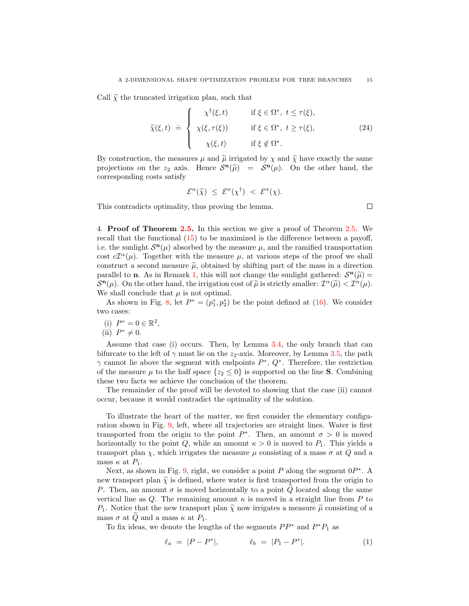Call  $\tilde{\chi}$  the truncated irrigation plan, such that

$$
\widetilde{\chi}(\xi, t) \doteq \begin{cases}\n\chi^{\dagger}(\xi, t) & \text{if } \xi \in \Omega^*, \ t \leq \tau(\xi), \\
\chi(\xi, \tau(\xi)) & \text{if } \xi \in \Omega^*, \ t \geq \tau(\xi), \\
\chi(\xi, t) & \text{if } \xi \notin \Omega^*. \n\end{cases} \tag{24}
$$

 $\Box$ 

By construction, the measures  $\mu$  and  $\tilde{\mu}$  irrigated by  $\chi$  and  $\tilde{\chi}$  have exactly the same projections on the  $z_2$  axis. Hence  $S^n(\tilde{\mu}) = S^n(\mu)$ . On the other hand, the corresponding costs satisfy

$$
\mathcal{E}^{\alpha}(\widetilde{\chi}) \leq \mathcal{E}^{\alpha}(\chi^{\dagger}) < \mathcal{E}^{\alpha}(\chi).
$$

This contradicts optimality, thus proving the lemma.

4. Proof of Theorem [2.5.](#page-4-0) In this section we give a proof of Theorem [2.5.](#page-4-0) We recall that the functional [\(15\)](#page-4-2) to be maximized is the difference between a payoff, i.e. the sunlight  $S<sup>n</sup>(\mu)$  absorbed by the measure  $\mu$ , and the ramified transportation cost  $cT^{\alpha}(\mu)$ . Together with the measure  $\mu$ , at various steps of the proof we shall construct a second measure  $\tilde{\mu}$ , obtained by shifting part of the mass in a direction parallel to **n**. As in Remark [1,](#page-2-4) this will not change the sunlight gathered:  $S^{n}(\tilde{\mu}) = S^{n}(\mu)$ . On the other hand, the irritation cost of  $\tilde{\mu}$  is strictly smaller:  $\mathcal{T}^{\alpha}(\tilde{\mu}) \leq \mathcal{T}^{\alpha}(\mu)$ .  $\mathcal{S}^{\mathbf{n}}(\mu)$ . On the other hand, the irrigation cost of  $\tilde{\mu}$  is strictly smaller:  $\mathcal{I}^{\alpha}(\tilde{\mu}) < \mathcal{I}^{\alpha}(\mu)$ .<br>We shall conclude that  $\mu$  is not optimal We shall conclude that  $\mu$  is not optimal.

As shown in Fig. [8,](#page-12-0) let  $P^* = (p_1^*, p_2^*)$  be the point defined at [\(16\)](#page-12-1). We consider two cases:

(i)  $P^* = 0 \in \mathbb{R}^2$ ,

(ii)  $P^* \neq 0$ .

Assume that case (i) occurs. Then, by Lemma [3.4,](#page-11-4) the only branch that can bifurcate to the left of  $\gamma$  must lie on the  $z_2$ -axis. Moreover, by Lemma [3.5,](#page-13-1) the path  $\gamma$  cannot lie above the segment with endpoints  $P^*, Q^*$ . Therefore, the restriction of the measure  $\mu$  to the half space  $\{z_2 \leq 0\}$  is supported on the line **S**. Combining these two facts we achieve the conclusion of the theorem.

The remainder of the proof will be devoted to showing that the case (ii) cannot occur, because it would contradict the optimality of the solution.

To illustrate the heart of the matter, we first consider the elementary configuration shown in Fig. [9,](#page-15-0) left, where all trajectories are straight lines. Water is first transported from the origin to the point  $P^*$ . Then, an amount  $\sigma > 0$  is moved horizontally to the point Q, while an amount  $\kappa > 0$  is moved to  $P_1$ . This yields a transport plan  $\chi$ , which irrigates the measure  $\mu$  consisting of a mass  $\sigma$  at Q and a mass  $\kappa$  at  $P_1$ .

Next, as shown in Fig. [9,](#page-15-0) right, we consider a point  $P$  along the segment  $0P^*$ . A new transport plan  $\tilde{\chi}$  is defined, where water is first transported from the origin to P. Then, an amount  $\sigma$  is moved horizontally to a point Q located along the same vertical line as Q. The remaining amount  $\kappa$  is moved in a straight line from P to  $P_1$ . Notice that the new transport plan  $\widetilde{\chi}$  now irrigates a measure  $\widetilde{\mu}$  consisting of a mass  $\sigma$  at  $Q$  and a mass  $\kappa$  at  $P_1$ .

To fix ideas, we denote the lengths of the segments  $PP^*$  and  $P^*P_1$  as

$$
\ell_a = |P - P^*|, \qquad \ell_b = |P_1 - P^*|.
$$
 (1)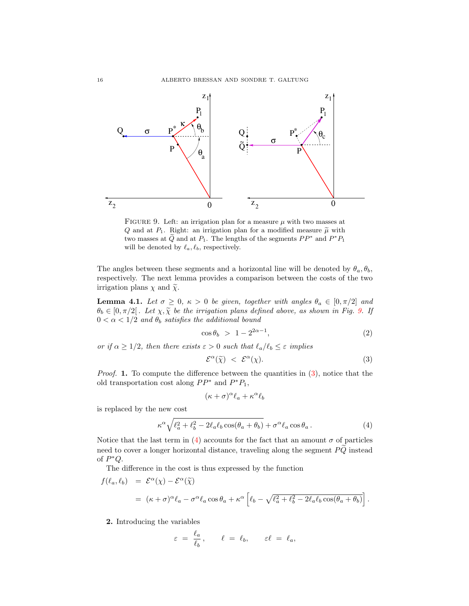

<span id="page-15-0"></span>FIGURE 9. Left: an irrigation plan for a measure  $\mu$  with two masses at Q and at  $P_1$ . Right: an irrigation plan for a modified measure  $\tilde{\mu}$  with two masses at  $\widetilde{Q}$  and at  $P_1$ . The lengths of the segments  $PP^*$  and  $P^*P_1$ will be denoted by  $\ell_a, \ell_b$ , respectively.

The angles between these segments and a horizontal line will be denoted by  $\theta_a, \theta_b$ , respectively. The next lemma provides a comparison between the costs of the two irrigation plans  $\chi$  and  $\tilde{\chi}$ .

<span id="page-15-3"></span>**Lemma 4.1.** Let  $\sigma \geq 0$ ,  $\kappa > 0$  be given, together with angles  $\theta_a \in [0, \pi/2]$  and  $\theta_b \in [0, \pi/2]$ . Let  $\chi, \tilde{\chi}$  be the irrigation plans defined above, as shown in Fig. [9.](#page-15-0) If  $0 < \alpha < 1/2$  and  $\theta_b$  satisfies the additional bound

$$
\cos \theta_b > 1 - 2^{2\alpha - 1},\tag{2}
$$

or if  $\alpha \geq 1/2$ , then there exists  $\varepsilon > 0$  such that  $\ell_a/\ell_b \leq \varepsilon$  implies

<span id="page-15-1"></span>
$$
\mathcal{E}^{\alpha}(\tilde{\chi}) \leq \mathcal{E}^{\alpha}(\chi). \tag{3}
$$

*Proof.* 1. To compute the difference between the quantities in  $(3)$ , notice that the old transportation cost along  $PP^*$  and  $P^*P_1$ ,

$$
(\kappa + \sigma)^{\alpha} \ell_a + \kappa^{\alpha} \ell_b
$$

is replaced by the new cost

<span id="page-15-2"></span>
$$
\kappa^{\alpha} \sqrt{\ell_a^2 + \ell_b^2 - 2\ell_a \ell_b \cos(\theta_a + \theta_b)} + \sigma^{\alpha} \ell_a \cos \theta_a.
$$
 (4)

Notice that the last term in [\(4\)](#page-15-2) accounts for the fact that an amount  $\sigma$  of particles need to cover a longer horizontal distance, traveling along the segment  $PQ$  instead of  $P^*Q$ .

The difference in the cost is thus expressed by the function

$$
f(\ell_a, \ell_b) = \mathcal{E}^{\alpha}(\chi) - \mathcal{E}^{\alpha}(\widetilde{\chi})
$$
  
=  $(\kappa + \sigma)^{\alpha} \ell_a - \sigma^{\alpha} \ell_a \cos \theta_a + \kappa^{\alpha} \left[ \ell_b - \sqrt{\ell_a^2 + \ell_b^2 - 2\ell_a \ell_b \cos(\theta_a + \theta_b)} \right].$ 

## 2. Introducing the variables

$$
\varepsilon = \frac{\ell_a}{\ell_b}, \qquad \ell = \ell_b, \qquad \varepsilon \ell = \ell_a,
$$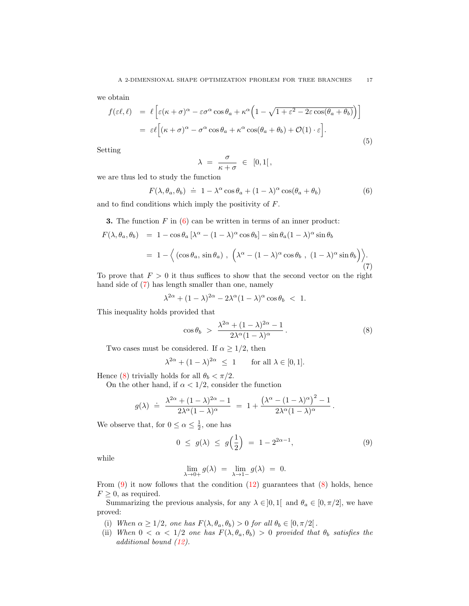we obtain

<span id="page-16-4"></span>
$$
f(\varepsilon \ell, \ell) = \ell \left[ \varepsilon (\kappa + \sigma)^{\alpha} - \varepsilon \sigma^{\alpha} \cos \theta_{a} + \kappa^{\alpha} \left( 1 - \sqrt{1 + \varepsilon^{2} - 2\varepsilon \cos(\theta_{a} + \theta_{b})} \right) \right]
$$
  

$$
= \varepsilon \ell \left[ (\kappa + \sigma)^{\alpha} - \sigma^{\alpha} \cos \theta_{a} + \kappa^{\alpha} \cos(\theta_{a} + \theta_{b}) + \mathcal{O}(1) \cdot \varepsilon \right].
$$
 (5)

Setting

$$
\lambda = \frac{\sigma}{\kappa + \sigma} \in [0, 1[,
$$

we are thus led to study the function

<span id="page-16-0"></span>
$$
F(\lambda, \theta_a, \theta_b) \doteq 1 - \lambda^{\alpha} \cos \theta_a + (1 - \lambda)^{\alpha} \cos(\theta_a + \theta_b)
$$
 (6)

and to find conditions which imply the positivity of F.

**3.** The function  $F$  in  $(6)$  can be written in terms of an inner product:

<span id="page-16-1"></span>
$$
F(\lambda, \theta_a, \theta_b) = 1 - \cos \theta_a \left[ \lambda^{\alpha} - (1 - \lambda)^{\alpha} \cos \theta_b \right] - \sin \theta_a (1 - \lambda)^{\alpha} \sin \theta_b
$$
  
=  $1 - \left\langle \left( \cos \theta_a, \sin \theta_a \right), \left( \lambda^{\alpha} - (1 - \lambda)^{\alpha} \cos \theta_b, (1 - \lambda)^{\alpha} \sin \theta_b \right) \right\rangle$ 

To prove that  $F > 0$  it thus suffices to show that the second vector on the right hand side of [\(7\)](#page-16-1) has length smaller than one, namely

$$
\lambda^{2\alpha} + (1 - \lambda)^{2\alpha} - 2\lambda^{\alpha} (1 - \lambda)^{\alpha} \cos \theta_b < 1.
$$

This inequality holds provided that

<span id="page-16-2"></span>
$$
\cos \theta_b > \frac{\lambda^{2\alpha} + (1 - \lambda)^{2\alpha} - 1}{2\lambda^{\alpha}(1 - \lambda)^{\alpha}}.
$$
\n(8)

 $(7)$ 

Two cases must be considered. If  $\alpha \geq 1/2$ , then

 $\lambda^{2\alpha} + (1-\lambda)$ for all  $\lambda \in [0, 1]$ .

Hence [\(8\)](#page-16-2) trivially holds for all  $\theta_b < \pi/2$ .

On the other hand, if  $\alpha < 1/2$ , consider the function

$$
g(\lambda) ~\doteq~ \frac{\lambda^{2\alpha}+(1-\lambda)^{2\alpha}-1}{2\lambda^\alpha(1-\lambda)^\alpha} ~=~ 1+\frac{\left(\lambda^\alpha-(1-\lambda)^\alpha\right)^2-1}{2\lambda^\alpha(1-\lambda)^\alpha}{\,}.
$$

We observe that, for  $0 \le \alpha \le \frac{1}{2}$ , one has

<span id="page-16-3"></span>
$$
0 \le g(\lambda) \le g\Big(\frac{1}{2}\Big) = 1 - 2^{2\alpha - 1}, \tag{9}
$$

while

$$
\lim_{\lambda \to 0+} g(\lambda) = \lim_{\lambda \to 1-} g(\lambda) = 0.
$$

From  $(9)$  it now follows that the condition  $(12)$  guarantees that  $(8)$  holds, hence  $F \geq 0$ , as required.

Summarizing the previous analysis, for any  $\lambda \in ]0,1[$  and  $\theta_a \in [0,\pi/2]$ , we have proved:

- (i) When  $\alpha \geq 1/2$ , one has  $F(\lambda, \theta_a, \theta_b) > 0$  for all  $\theta_b \in [0, \pi/2]$ .
- (ii) When  $0 < \alpha < 1/2$  one has  $F(\lambda, \theta_a, \theta_b) > 0$  provided that  $\theta_b$  satisfies the additional bound [\(12\)](#page-18-0).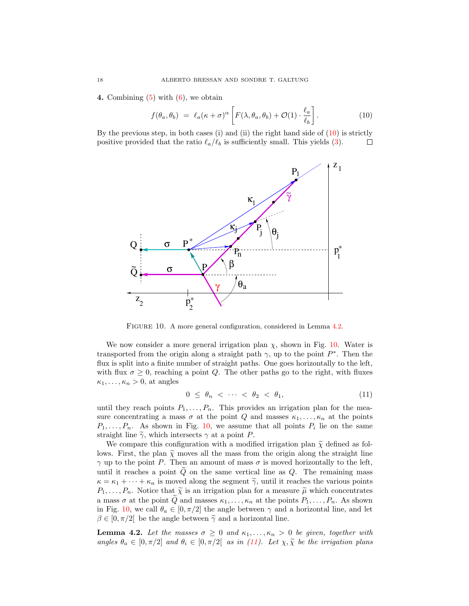4. Combining  $(5)$  with  $(6)$ , we obtain

<span id="page-17-0"></span>
$$
f(\theta_a, \theta_b) = \ell_a(\kappa + \sigma)^\alpha \left[ F(\lambda, \theta_a, \theta_b) + \mathcal{O}(1) \cdot \frac{\ell_a}{\ell_b} \right]. \tag{10}
$$

By the previous step, in both cases (i) and (ii) the right hand side of  $(10)$  is strictly positive provided that the ratio  $\ell_a/\ell_b$  is sufficiently small. This yields [\(3\)](#page-15-1). П



<span id="page-17-2"></span>FIGURE 10. A more general configuration, considered in Lemma [4.2.](#page-17-1)

We now consider a more general irrigation plan  $\chi$ , shown in Fig. [10.](#page-17-2) Water is transported from the origin along a straight path  $\gamma$ , up to the point  $P^*$ . Then the flux is split into a finite number of straight paths. One goes horizontally to the left, with flux  $\sigma \geq 0$ , reaching a point Q. The other paths go to the right, with fluxes  $\kappa_1, \ldots, \kappa_n > 0$ , at angles

<span id="page-17-3"></span>
$$
0 \leq \theta_n < \cdots < \theta_2 < \theta_1,\tag{11}
$$

until they reach points  $P_1, \ldots, P_n$ . This provides an irrigation plan for the measure concentrating a mass  $\sigma$  at the point Q and masses  $\kappa_1, \ldots, \kappa_n$  at the points  $P_1, \ldots, P_n$ . As shown in Fig. [10,](#page-17-2) we assume that all points  $P_i$  lie on the same straight line  $\tilde{\gamma}$ , which intersects  $\gamma$  at a point P.

We compare this configuration with a modified irrigation plan  $\tilde{\chi}$  defined as follows. First, the plan  $\tilde{\chi}$  moves all the mass from the origin along the straight line  $\gamma$  up to the point P. Then an amount of mass  $\sigma$  is moved horizontally to the left, until it reaches a point  $\tilde{Q}$  on the same vertical line as  $Q$ . The remaining mass  $\kappa = \kappa_1 + \cdots + \kappa_n$  is moved along the segment  $\tilde{\gamma}$ , until it reaches the various points  $P_1, \ldots, P_n$ . Notice that  $\tilde{\chi}$  is an irrigation plan for a measure  $\tilde{\mu}$  which concentrates a mass  $\sigma$  at the point  $\tilde{Q}$  and masses  $\kappa_1, \ldots, \kappa_n$  at the points  $P_1, \ldots, P_n$ . As shown in Fig. [10,](#page-17-2) we call  $\theta_a \in [0, \pi/2]$  the angle between  $\gamma$  and a horizontal line, and let  $\beta \in [0, \pi/2]$  be the angle between  $\tilde{\gamma}$  and a horizontal line.

<span id="page-17-1"></span>**Lemma 4.2.** Let the masses  $\sigma \geq 0$  and  $\kappa_1, \ldots, \kappa_n > 0$  be given, together with angles  $\theta_a \in [0, \pi/2]$  and  $\theta_i \in [0, \pi/2]$  as in [\(11\)](#page-17-3). Let  $\chi, \tilde{\chi}$  be the irrigation plans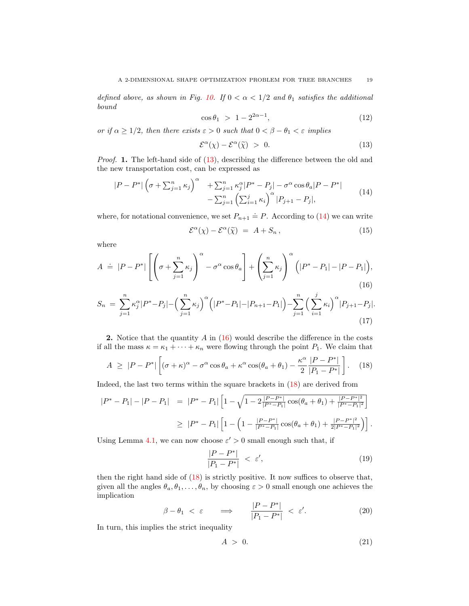defined above, as shown in Fig. [10.](#page-17-2) If  $0 < \alpha < 1/2$  and  $\theta_1$  satisfies the additional bound

<span id="page-18-0"></span>
$$
\cos \theta_1 > 1 - 2^{2\alpha - 1}, \tag{12}
$$

or if  $\alpha \geq 1/2$ , then there exists  $\varepsilon > 0$  such that  $0 < \beta - \theta_1 < \varepsilon$  implies

<span id="page-18-1"></span>
$$
\mathcal{E}^{\alpha}(\chi) - \mathcal{E}^{\alpha}(\widetilde{\chi}) > 0. \tag{13}
$$

Proof. 1. The left-hand side of  $(13)$ , describing the difference between the old and the new transportation cost, can be expressed as

<span id="page-18-2"></span>
$$
|P - P^*| \left(\sigma + \sum_{j=1}^n \kappa_j\right)^{\alpha} + \sum_{j=1}^n \kappa_j^{\alpha} |P^* - P_j| - \sigma^{\alpha} \cos \theta_a |P - P^*| - \sum_{j=1}^n \left(\sum_{i=1}^j \kappa_i\right)^{\alpha} |P_{j+1} - P_j|,
$$
\n(14)

where, for notational convenience, we set  $P_{n+1} \doteq P$ . According to [\(14\)](#page-18-2) we can write

$$
\mathcal{E}^{\alpha}(\chi) - \mathcal{E}^{\alpha}(\tilde{\chi}) = A + S_n, \qquad (15)
$$

where

<span id="page-18-3"></span>
$$
A \doteq |P - P^*| \left[ \left( \sigma + \sum_{j=1}^n \kappa_j \right)^{\alpha} - \sigma^{\alpha} \cos \theta_a \right] + \left( \sum_{j=1}^n \kappa_j \right)^{\alpha} \left( |P^* - P_1| - |P - P_1| \right),\tag{16}
$$

<span id="page-18-5"></span>
$$
S_n = \sum_{j=1}^n \kappa_j^{\alpha} |P^* - P_j| - \left(\sum_{j=1}^n \kappa_j\right)^{\alpha} \left(|P^* - P_1| - |P_{n+1} - P_1|\right) - \sum_{j=1}^n \left(\sum_{i=1}^j \kappa_i\right)^{\alpha} |P_{j+1} - P_j|.
$$
\n(17)

2. Notice that the quantity  $A$  in  $(16)$  would describe the difference in the costs if all the mass  $\kappa = \kappa_1 + \cdots + \kappa_n$  were flowing through the point  $P_1$ . We claim that

<span id="page-18-4"></span>
$$
A \geq |P - P^*| \left[ (\sigma + \kappa)^{\alpha} - \sigma^{\alpha} \cos \theta_a + \kappa^{\alpha} \cos(\theta_a + \theta_1) - \frac{\kappa^{\alpha}}{2} \frac{|P - P^*|}{|P_1 - P^*|} \right]. \tag{18}
$$

Indeed, the last two terms within the square brackets in [\(18\)](#page-18-4) are derived from

$$
\begin{array}{rcl} |P^* - P_1| - |P - P_1| & = & |P^* - P_1| \left[ 1 - \sqrt{1 - 2\frac{|P - P^*|}{|P^* - P_1|} \cos(\theta_a + \theta_1) + \frac{|P - P^*|^2}{|P^* - P_1|^2}} \right] \\ \\ & \geq & |P^* - P_1| \left[ 1 - \left( 1 - \frac{|P - P^*|}{|P^* - P_1|} \cos(\theta_a + \theta_1) + \frac{|P - P^*|^2}{2|P^* - P_1|^2} \right) \right]. \end{array}
$$

Using Lemma [4.1,](#page-15-3) we can now choose  $\varepsilon' > 0$  small enough such that, if

$$
\frac{|P - P^*|}{|P_1 - P^*|} < \varepsilon',\tag{19}
$$

then the right hand side of  $(18)$  is strictly positive. It now suffices to observe that, given all the angles  $\theta_a, \theta_1, \ldots, \theta_n$ , by choosing  $\varepsilon > 0$  small enough one achieves the implication

$$
\beta - \theta_1 < \varepsilon \qquad \Longrightarrow \qquad \frac{|P - P^*|}{|P_1 - P^*|} < \varepsilon'. \tag{20}
$$

In turn, this implies the strict inequality

$$
A > 0. \tag{21}
$$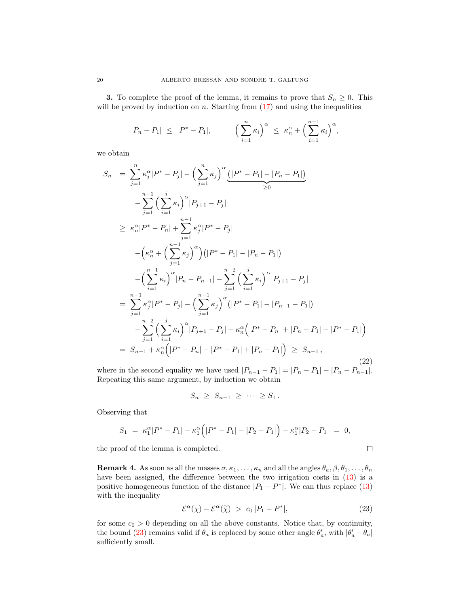**3.** To complete the proof of the lemma, it remains to prove that  $S_n \geq 0$ . This will be proved by induction on  $n$ . Starting from  $(17)$  and using the inequalities

$$
|P_n - P_1| \le |P^* - P_1|, \qquad \left(\sum_{i=1}^n \kappa_i\right)^{\alpha} \le \kappa_n^{\alpha} + \left(\sum_{i=1}^{n-1} \kappa_i\right)^{\alpha},
$$

we obtain

$$
S_n = \sum_{j=1}^{n} \kappa_j^{\alpha} |P^* - P_j| - \left(\sum_{j=1}^{n} \kappa_j\right)^{\alpha} \underbrace{(|P^* - P_1| - |P_n - P_1|)}_{\geq 0}
$$
  
\n
$$
- \sum_{j=1}^{n-1} \left(\sum_{i=1}^{j} \kappa_i\right)^{\alpha} |P_{j+1} - P_j|
$$
  
\n
$$
\geq \kappa_n^{\alpha} |P^* - P_n| + \sum_{j=1}^{n-1} \kappa_j^{\alpha} |P^* - P_j|
$$
  
\n
$$
- \left(\kappa_n^{\alpha} + \left(\sum_{j=1}^{n-1} \kappa_j\right)^{\alpha}\right) (|P^* - P_1| - |P_n - P_1|)
$$
  
\n
$$
- \left(\sum_{i=1}^{n-1} \kappa_i\right)^{\alpha} |P_n - P_{n-1}| - \sum_{j=1}^{n-2} \left(\sum_{i=1}^{j} \kappa_i\right)^{\alpha} |P_{j+1} - P_j|
$$
  
\n
$$
= \sum_{j=1}^{n-1} \kappa_j^{\alpha} |P^* - P_j| - \left(\sum_{j=1}^{n-1} \kappa_j\right)^{\alpha} (|P^* - P_1| - |P_{n-1} - P_1|)
$$
  
\n
$$
- \sum_{j=1}^{n-2} \left(\sum_{i=1}^{j} \kappa_i\right)^{\alpha} |P_{j+1} - P_j| + \kappa_n^{\alpha} (|P^* - P_n| + |P_n - P_1| - |P^* - P_1|)
$$
  
\n
$$
= S_{n-1} + \kappa_n^{\alpha} (|P^* - P_n| - |P^* - P_1| + |P_n - P_1|) \geq S_{n-1},
$$
\n(22)

where in the second equality we have used  $|P_{n-1} - P_1| = |P_n - P_1| - |P_n - P_{n-1}|$ . Repeating this same argument, by induction we obtain

$$
S_n \geq S_{n-1} \geq \cdots \geq S_1.
$$

Observing that

$$
S_1 = \kappa_1^{\alpha} |P^* - P_1| - \kappa_1^{\alpha} (|P^* - P_1| - |P_2 - P_1|) - \kappa_1^{\alpha} |P_2 - P_1| = 0,
$$

the proof of the lemma is completed.

<span id="page-19-1"></span>**Remark 4.** As soon as all the masses  $\sigma, \kappa_1, \ldots, \kappa_n$  and all the angles  $\theta_a, \beta, \theta_1, \ldots, \theta_n$ have been assigned, the difference between the two irrigation costs in  $(13)$  is a positive homogeneous function of the distance  $|P_1 - P^*|$ . We can thus replace [\(13\)](#page-18-1) with the inequality

<span id="page-19-0"></span>
$$
\mathcal{E}^{\alpha}(\chi) - \mathcal{E}^{\alpha}(\widetilde{\chi}) \ > \ c_0 \, |P_1 - P^*|,\tag{23}
$$

 $\Box$ 

for some  $c_0 > 0$  depending on all the above constants. Notice that, by continuity, the bound [\(23\)](#page-19-0) remains valid if  $\theta_a$  is replaced by some other angle  $\theta'_a$ , with  $|\theta'_a - \theta_a|$ sufficiently small.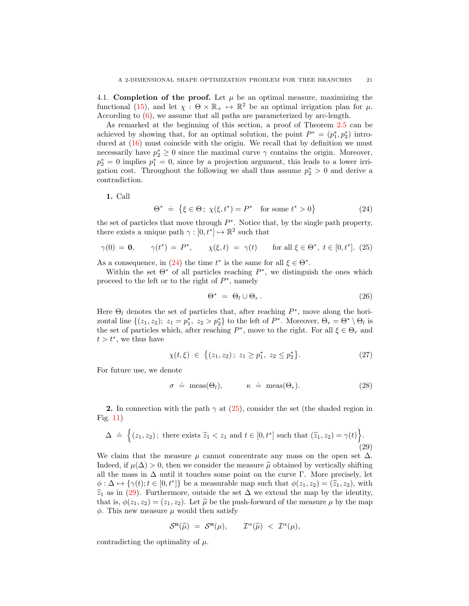4.1. Completion of the proof. Let  $\mu$  be an optimal measure, maximizing the functional [\(15\)](#page-4-2), and let  $\chi : \Theta \times \mathbb{R}_+ \mapsto \mathbb{R}^2$  be an optimal irrigation plan for  $\mu$ . According to [\(6\)](#page-2-0), we assume that all paths are parameterized by arc-length.

As remarked at the beginning of this section, a proof of Theorem [2.5](#page-4-0) can be achieved by showing that, for an optimal solution, the point  $P^* = (p_1^*, p_2^*)$  introduced at  $(16)$  must coincide with the origin. We recall that by definition we must necessarily have  $p_2^* \geq 0$  since the maximal curve  $\gamma$  contains the origin. Moreover,  $p_2^* = 0$  implies  $p_1^* = 0$ , since by a projection argument, this leads to a lower irrigation cost. Throughout the following we shall thus assume  $p_2^* > 0$  and derive a contradiction.

1. Call

<span id="page-20-0"></span>
$$
\Theta^* \ \doteq \ \left\{ \xi \in \Theta \, ; \ \chi(\xi, t^*) = P^* \quad \text{for some } t^* > 0 \right\} \tag{24}
$$

the set of particles that move through  $P^*$ . Notice that, by the single path property, there exists a unique path  $\gamma : [0, t^*] \mapsto \mathbb{R}^2$  such that

<span id="page-20-1"></span>
$$
\gamma(0) = \mathbf{0}, \qquad \gamma(t^*) = P^*, \qquad \chi(\xi, t) = \gamma(t) \qquad \text{for all } \xi \in \Theta^*, \ t \in [0, t^*]. \tag{25}
$$

As a consequence, in [\(24\)](#page-20-0) the time  $t^*$  is the same for all  $\xi \in \Theta^*$ .

Within the set  $\Theta^*$  of all particles reaching  $P^*$ , we distinguish the ones which proceed to the left or to the right of  $P^*$ , namely

<span id="page-20-3"></span>
$$
\Theta^* = \Theta_l \cup \Theta_r. \tag{26}
$$

Here  $\Theta_l$  denotes the set of particles that, after reaching  $P^*$ , move along the horizontal line  $\{(z_1, z_2); z_1 = p_1^*, z_2 > p_2^*\}$  to the left of  $P^*$ . Moreover,  $\Theta_r = \Theta^* \setminus \Theta_l$  is the set of particles which, after reaching  $P^*$ , move to the right. For all  $\xi \in \Theta_r$  and  $t > t^*$ , we thus have

$$
\chi(t,\xi) \in \{(z_1,z_2); \ z_1 \ge p_1^*, \ z_2 \le p_2^*\}.
$$
 (27)

For future use, we denote

$$
\sigma \doteq \text{meas}(\Theta_l), \qquad \kappa \doteq \text{meas}(\Theta_r). \tag{28}
$$

2. In connection with the path  $\gamma$  at [\(25\)](#page-20-1), consider the set (the shaded region in Fig. [11\)](#page-21-0)

<span id="page-20-2"></span>
$$
\Delta \doteq \Big\{ (z_1, z_2) \, ; \text{ there exists } \widehat{z}_1 < z_1 \text{ and } t \in [0, t^*] \text{ such that } (\widehat{z}_1, z_2) = \gamma(t) \Big\}.
$$
\n
$$
(29)
$$

We claim that the measure  $\mu$  cannot concentrate any mass on the open set  $\Delta$ . Indeed, if  $\mu(\Delta) > 0$ , then we consider the measure  $\hat{\mu}$  obtained by vertically shifting all the mass in  $\Delta$  until it touches some point on the curve Γ. More precisely, let  $\phi : \Delta \mapsto {\gamma(t); t \in [0, t^*]}$  be a measurable map such that  $\phi(z_1, z_2) = (\hat{z}_1, z_2)$ , with  $\hat{z}$ , as in (20). Eurthermore, outside the set  $\Delta$  we extend the map by the identity  $\hat{z}_1$  as in [\(29\)](#page-20-2). Furthermore, outside the set  $\Delta$  we extend the map by the identity, that is,  $\phi(z_1, z_2) = (z_1, z_2)$ . Let  $\hat{\mu}$  be the push-forward of the measure  $\mu$  by the map  $\phi$ . This new measure  $\mu$  would then satisfy

$$
\mathcal{S}^{\mathbf{n}}(\widehat{\mu}) = \mathcal{S}^{\mathbf{n}}(\mu), \qquad \mathcal{I}^{\alpha}(\widehat{\mu}) < \mathcal{I}^{\alpha}(\mu),
$$

contradicting the optimality of  $\mu$ .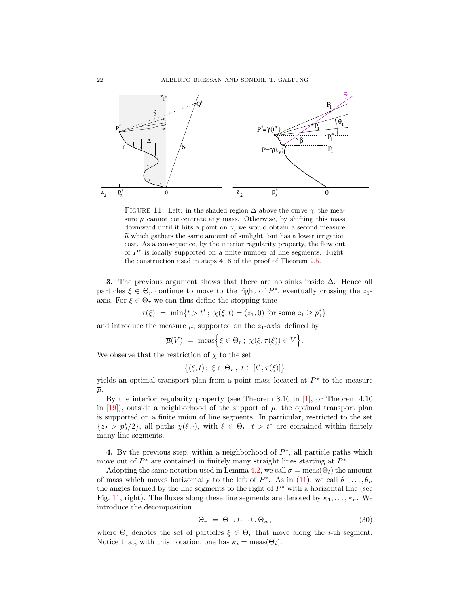

<span id="page-21-0"></span>FIGURE 11. Left: in the shaded region  $\Delta$  above the curve  $\gamma$ , the measure  $\mu$  cannot concentrate any mass. Otherwise, by shifting this mass downward until it hits a point on  $\gamma$ , we would obtain a second measure  $\tilde{\mu}$  which gathers the same amount of sunlight, but has a lower irrigation cost. As a consequence, by the interior regularity property, the flow out of  $P^*$  is locally supported on a finite number of line segments. Right: the construction used in steps 4–6 of the proof of Theorem [2.5.](#page-4-0)

3. The previous argument shows that there are no sinks inside  $\Delta$ . Hence all particles  $\xi \in \Theta_r$  continue to move to the right of  $P^*$ , eventually crossing the  $z_1$ axis. For  $\xi \in \Theta_r$  we can thus define the stopping time

 $\tau(\xi) \doteq \min\{t > t^* \, ; \, \chi(\xi, t) = (z_1, 0) \text{ for some } z_1 \geq p_1^*\},\$ 

and introduce the measure  $\overline{\mu}$ , supported on the  $z_1$ -axis, defined by

$$
\overline{\mu}(V) = \text{meas}\Big\{\xi \in \Theta_r \, ; \, \chi(\xi, \tau(\xi)) \in V\Big\}.
$$

We observe that the restriction of  $\chi$  to the set

$$
\{(\xi, t) \, ; \, \xi \in \Theta_r, \ t \in [t^*, \tau(\xi)]\}
$$

yields an optimal transport plan from a point mass located at  $P^*$  to the measure  $\overline{\mu}$ .

By the interior regularity property (see Theorem 8.16 in [\[1\]](#page-28-2), or Theorem 4.10 in [\[19\]](#page-28-16)), outside a neighborhood of the support of  $\bar{\mu}$ , the optimal transport plan is supported on a finite union of line segments. In particular, restricted to the set  ${z_2 > p_2^*/2}$ , all paths  $\chi(\xi, \cdot)$ , with  $\xi \in \Theta_r$ ,  $t > t^*$  are contained within finitely many line segments.

4. By the previous step, within a neighborhood of  $P^*$ , all particle paths which move out of  $P^*$  are contained in finitely many straight lines starting at  $P^*$ .

Adopting the same notation used in Lemma [4.2,](#page-17-1) we call  $\sigma = \text{meas}(\Theta_l)$  the amount of mass which moves horizontally to the left of  $P^*$ . As in [\(11\)](#page-17-3), we call  $\theta_1, \ldots, \theta_n$ the angles formed by the line segments to the right of  $P^*$  with a horizontal line (see Fig. [11,](#page-21-0) right). The fluxes along these line segments are denoted by  $\kappa_1, \ldots, \kappa_n$ . We introduce the decomposition

$$
\Theta_r = \Theta_1 \cup \dots \cup \Theta_n, \qquad (30)
$$

where  $\Theta_i$  denotes the set of particles  $\xi \in \Theta_r$  that move along the *i*-th segment. Notice that, with this notation, one has  $\kappa_i = \text{meas}(\Theta_i)$ .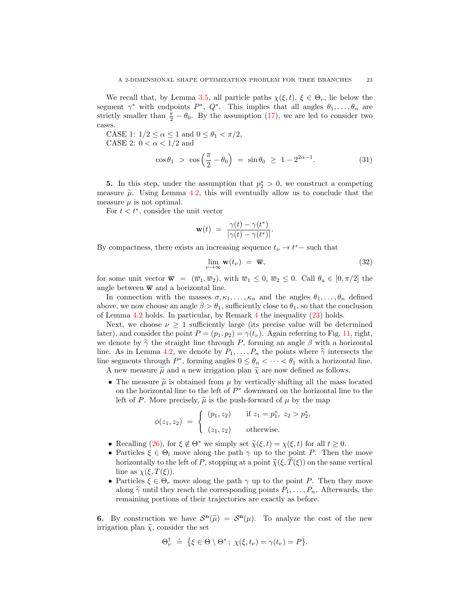We recall that, by Lemma [3.5,](#page-13-1) all particle paths  $\chi(\xi, t)$ ,  $\xi \in \Theta_r$ , lie below the segment  $\gamma^*$  with endpoints  $P^*$ ,  $Q^*$ . This implies that all angles  $\theta_1, \ldots, \theta_n$  are strictly smaller than  $\frac{\pi}{2} - \theta_0$ . By the assumption [\(17\)](#page-4-3), we are led to consider two cases.

CASE 1:  $1/2 \leq \alpha \leq 1$  and  $0 \leq \theta_1 < \pi/2$ , CASE 2:  $0 < \alpha < 1/2$  and

$$
\cos \theta_1 > \cos \left(\frac{\pi}{2} - \theta_0\right) = \sin \theta_0 \ge 1 - 2^{2\alpha - 1}.\tag{31}
$$

**5.** In this step, under the assumption that  $p_2^* > 0$ , we construct a competing measure  $\tilde{\mu}$ . Using Lemma [4.2,](#page-17-1) this will eventually allow us to conclude that the measure  $\mu$  is not optimal.

For  $t < t^*$ , consider the unit vector

$$
\mathbf{w}(t) = \frac{\gamma(t) - \gamma(t^*)}{|\gamma(t) - \gamma(t^*)|}.
$$

By compactness, there exists an increasing sequence  $t_{\nu} \to t^*$  – such that

<span id="page-22-0"></span>
$$
\lim_{\nu \to \infty} \mathbf{w}(t_{\nu}) = \overline{\mathbf{w}}, \tag{32}
$$

for some unit vector  $\overline{\mathbf{w}} = (\overline{w}_1, \overline{w}_2)$ , with  $\overline{w}_1 \leq 0$ ,  $\overline{w}_2 \leq 0$ . Call  $\theta_a \in [0, \pi/2]$  the angle between  $\overline{w}$  and a horizontal line.

In connection with the masses  $\sigma, \kappa_1, \ldots, \kappa_n$  and the angles  $\theta_1, \ldots, \theta_n$  defined above, we now choose an angle  $\beta > \theta_1$ , sufficiently close to  $\theta_1$ , so that the conclusion of Lemma [4.2](#page-17-1) holds. In particular, by Remark [4](#page-19-1) the inequality [\(23\)](#page-19-0) holds.

Next, we choose  $\nu \geq 1$  sufficiently large (its precise value will be determined later), and consider the point  $P = (p_1, p_2) = \gamma(t_\nu)$ . Again referring to Fig. [11,](#page-21-0) right, we denote by  $\tilde{\gamma}$  the straight line through P, forming an angle  $\beta$  with a horizontal line. As in Lemma [4.2,](#page-17-1) we denote by  $P_1, \ldots, P_n$  the points where  $\tilde{\gamma}$  intersects the line segments through  $P^*$ , forming angles  $0 \leq \theta_n < \cdots < \theta_1$  with a horizontal line. A new measure  $\tilde{\mu}$  and a new irrigation plan  $\tilde{\chi}$  are now defined as follows.

• The measure  $\tilde{\mu}$  is obtained from  $\mu$  by vertically shifting all the mass located on the horizontal line to the left of  $P^*$  downward on the horizontal line to the left of P. More precisely,  $\tilde{\mu}$  is the push-forward of  $\mu$  by the map

$$
\phi(z_1, z_2) = \begin{cases} (p_1, z_2) & \text{if } z_1 = p_1^*, \ z_2 > p_2^*, \\ (z_1, z_2) & \text{otherwise.} \end{cases}
$$

- Recalling [\(26\)](#page-20-3), for  $\xi \notin \Theta^*$  we simply set  $\tilde{\chi}(\xi, t) = \chi(\xi, t)$  for all  $t \geq 0$ .
- Particles  $\xi \in \Theta_l$  move along the path  $\gamma$  up to the point P. Then the move horizontally to the left of P, stopping at a point  $\tilde{\chi}(\xi, T(\xi))$  on the same vertical line as  $\chi(\xi, T(\xi))$ .
- Particles  $\xi \in \Theta_r$  move along the path  $\gamma$  up to the point P. Then they move along  $\widetilde{\gamma}$  until they reach the corresponding points  $P_1, \ldots, P_n$ . Afterwards, the remaining portions of their trajectories are exactly as before.

**6.** By construction we have  $S^{\mathbf{n}}(\tilde{\mu}) = S^{\mathbf{n}}(\mu)$ . To analyze the cost of the new irritation plan  $\tilde{\kappa}$  consider the set irrigation plan  $\tilde{\chi}$ , consider the set

$$
\Theta_{\nu}^{\dagger} \doteq \{\xi \in \Theta \setminus \Theta^* \, ; \, \chi(\xi, t_{\nu}) = \gamma(t_{\nu}) = P\}.
$$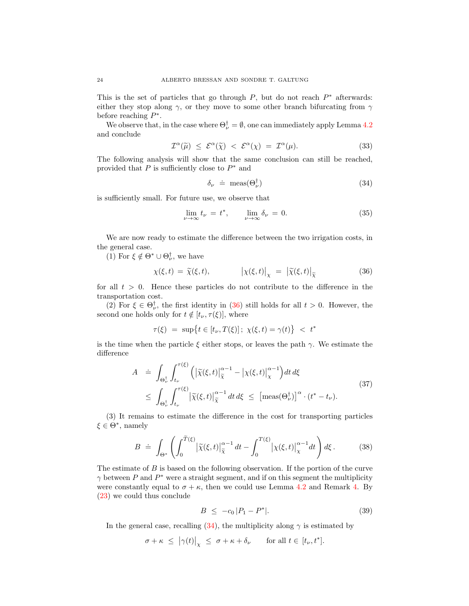This is the set of particles that go through  $P$ , but do not reach  $P^*$  afterwards: either they stop along  $\gamma$ , or they move to some other branch bifurcating from  $\gamma$ before reaching  $P^*$ .

We observe that, in the case where  $\Theta_{\nu}^{\dagger} = \emptyset$ , one can immediately apply Lemma [4.2](#page-17-1) and conclude

$$
\mathcal{I}^{\alpha}(\widetilde{\mu}) \leq \mathcal{E}^{\alpha}(\widetilde{\chi}) < \mathcal{E}^{\alpha}(\chi) = \mathcal{I}^{\alpha}(\mu). \tag{33}
$$

The following analysis will show that the same conclusion can still be reached, provided that  $P$  is sufficiently close to  $P^*$  and

<span id="page-23-1"></span>
$$
\delta_{\nu} \doteq \text{meas}(\Theta_{\nu}^{\dagger}) \tag{34}
$$

is sufficiently small. For future use, we observe that

$$
\lim_{\nu \to \infty} t_{\nu} = t^*, \qquad \lim_{\nu \to \infty} \delta_{\nu} = 0. \tag{35}
$$

We are now ready to estimate the difference between the two irrigation costs, in the general case.

(1) For  $\xi \notin \Theta^* \cup \Theta_{\nu}^{\dagger}$ , we have

<span id="page-23-0"></span>
$$
\chi(\xi, t) = \widetilde{\chi}(\xi, t), \qquad |\chi(\xi, t)|_{\chi} = |\widetilde{\chi}(\xi, t)|_{\widetilde{\chi}}
$$
(36)

for all  $t > 0$ . Hence these particles do not contribute to the difference in the transportation cost.

(2) For  $\xi \in \Theta_{\nu}^{\dagger}$ , the first identity in [\(36\)](#page-23-0) still holds for all  $t > 0$ . However, the second one holds only for  $t \notin [t_{\nu}, \tau(\xi)],$  where

$$
\tau(\xi) \ = \ \sup \{ t \in [t_{\nu}, T(\xi)]; \ \chi(\xi, t) = \gamma(t) \} \ < \ t^*
$$

is the time when the particle  $\xi$  either stops, or leaves the path  $\gamma$ . We estimate the difference

<span id="page-23-2"></span>
$$
A = \int_{\Theta_{\nu}^{\dagger}} \int_{t_{\nu}}^{\tau(\xi)} \left( \left| \widetilde{\chi}(\xi, t) \right|_{\widetilde{\chi}}^{\alpha - 1} - \left| \chi(\xi, t) \right|_{\chi}^{\alpha - 1} \right) dt d\xi
$$
  
 
$$
\leq \int_{\Theta_{\nu}^{\dagger}} \int_{t_{\nu}}^{\tau(\xi)} \left| \widetilde{\chi}(\xi, t) \right|_{\widetilde{\chi}}^{\alpha - 1} dt d\xi \leq \left[ \text{meas}(\Theta_{\nu}^{\dagger}) \right]^{\alpha} \cdot (t^* - t_{\nu}). \tag{37}
$$

(3) It remains to estimate the difference in the cost for transporting particles  $\xi \in \Theta^*$ , namely

$$
B \doteq \int_{\Theta^*} \left( \int_0^{\widetilde{T}(\xi)} \left| \widetilde{\chi}(\xi, t) \right|_{\widetilde{\chi}}^{\alpha - 1} dt - \int_0^{T(\xi)} \left| \chi(\xi, t) \right|_{\chi}^{\alpha - 1} dt \right) d\xi. \tag{38}
$$

The estimate of  $B$  is based on the following observation. If the portion of the curve  $\gamma$  between P and  $P^*$  were a straight segment, and if on this segment the multiplicity were constantly equal to  $\sigma + \kappa$ , then we could use Lemma [4.2](#page-17-1) and Remark [4.](#page-19-1) By [\(23\)](#page-19-0) we could thus conclude

<span id="page-23-3"></span>
$$
B \le -c_0 |P_1 - P^*|.
$$
 (39)

In the general case, recalling [\(34\)](#page-23-1), the multiplicity along  $\gamma$  is estimated by

$$
\sigma + \kappa \leq |\gamma(t)|_{\chi} \leq \sigma + \kappa + \delta_{\nu} \quad \text{for all } t \in [t_{\nu}, t^*].
$$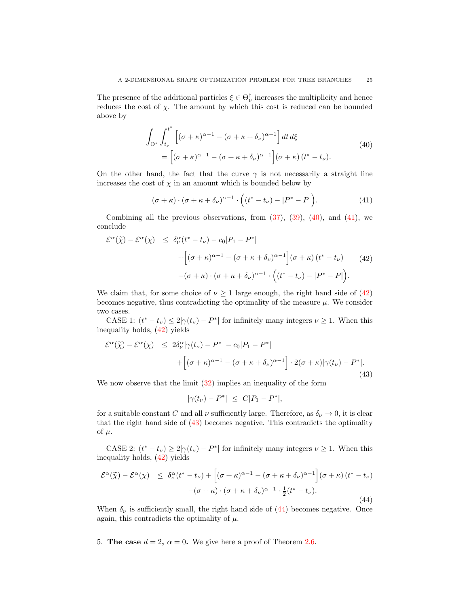The presence of the additional particles  $\xi \in \Theta_{\nu}^{\dagger}$  increases the multiplicity and hence reduces the cost of  $\chi$ . The amount by which this cost is reduced can be bounded above by

<span id="page-24-1"></span>
$$
\int_{\Theta^*} \int_{t_\nu}^{t^*} \left[ (\sigma + \kappa)^{\alpha - 1} - (\sigma + \kappa + \delta_\nu)^{\alpha - 1} \right] dt d\xi
$$
\n
$$
= \left[ (\sigma + \kappa)^{\alpha - 1} - (\sigma + \kappa + \delta_\nu)^{\alpha - 1} \right] (\sigma + \kappa) (t^* - t_\nu).
$$
\n(40)

On the other hand, the fact that the curve  $\gamma$  is not necessarily a straight line increases the cost of  $\chi$  in an amount which is bounded below by

<span id="page-24-2"></span>
$$
(\sigma + \kappa) \cdot (\sigma + \kappa + \delta_{\nu})^{\alpha - 1} \cdot ((t^* - t_{\nu}) - |P^* - P|).
$$
 (41)

Combining all the previous observations, from  $(37)$ ,  $(39)$ ,  $(40)$ , and  $(41)$ , we conclude

<span id="page-24-3"></span>
$$
\mathcal{E}^{\alpha}(\tilde{\chi}) - \mathcal{E}^{\alpha}(\chi) \leq \delta_{\nu}^{\alpha}(t^{*} - t_{\nu}) - c_{0}|P_{1} - P^{*}|
$$
  
+ 
$$
\left[ (\sigma + \kappa)^{\alpha - 1} - (\sigma + \kappa + \delta_{\nu})^{\alpha - 1} \right] (\sigma + \kappa) (t^{*} - t_{\nu}) \qquad (42)
$$

$$
-(\sigma + \kappa) \cdot (\sigma + \kappa + \delta_{\nu})^{\alpha - 1} \cdot \left( (t^{*} - t_{\nu}) - |P^{*} - P| \right).
$$

We claim that, for some choice of  $\nu \geq 1$  large enough, the right hand side of [\(42\)](#page-24-3) becomes negative, thus contradicting the optimality of the measure  $\mu$ . We consider two cases.

CASE 1:  $(t^* - t_\nu) \leq 2|\gamma(t_\nu) - P^*|$  for infinitely many integers  $\nu \geq 1$ . When this inequality holds, [\(42\)](#page-24-3) yields

<span id="page-24-4"></span>
$$
\mathcal{E}^{\alpha}(\tilde{\chi}) - \mathcal{E}^{\alpha}(\chi) \le 2\delta_{\nu}^{\alpha} |\gamma(t_{\nu}) - P^*| - c_0|P_1 - P^*| + \left[ (\sigma + \kappa)^{\alpha - 1} - (\sigma + \kappa + \delta_{\nu})^{\alpha - 1} \right] \cdot 2(\sigma + \kappa) |\gamma(t_{\nu}) - P^*|.
$$
\n(43)

We now observe that the limit  $(32)$  implies an inequality of the form

$$
|\gamma(t_{\nu}) - P^*| \leq C|P_1 - P^*|,
$$

for a suitable constant C and all  $\nu$  sufficiently large. Therefore, as  $\delta_{\nu} \to 0$ , it is clear that the right hand side of [\(43\)](#page-24-4) becomes negative. This contradicts the optimality of  $\mu$ .

CASE 2:  $(t^* - t_\nu) \geq 2|\gamma(t_\nu) - P^*|$  for infinitely many integers  $\nu \geq 1$ . When this inequality holds, [\(42\)](#page-24-3) yields

<span id="page-24-5"></span>
$$
\mathcal{E}^{\alpha}(\tilde{\chi}) - \mathcal{E}^{\alpha}(\chi) \leq \delta_{\nu}^{\alpha}(t^{*} - t_{\nu}) + \left[ (\sigma + \kappa)^{\alpha - 1} - (\sigma + \kappa + \delta_{\nu})^{\alpha - 1} \right] (\sigma + \kappa) (t^{*} - t_{\nu})
$$

$$
- (\sigma + \kappa) \cdot (\sigma + \kappa + \delta_{\nu})^{\alpha - 1} \cdot \frac{1}{2} (t^{*} - t_{\nu}). \tag{44}
$$

When  $\delta_{\nu}$  is sufficiently small, the right hand side of [\(44\)](#page-24-5) becomes negative. Once again, this contradicts the optimality of  $\mu$ .

<span id="page-24-0"></span>5. The case  $d = 2$ ,  $\alpha = 0$ . We give here a proof of Theorem [2.6.](#page-6-1)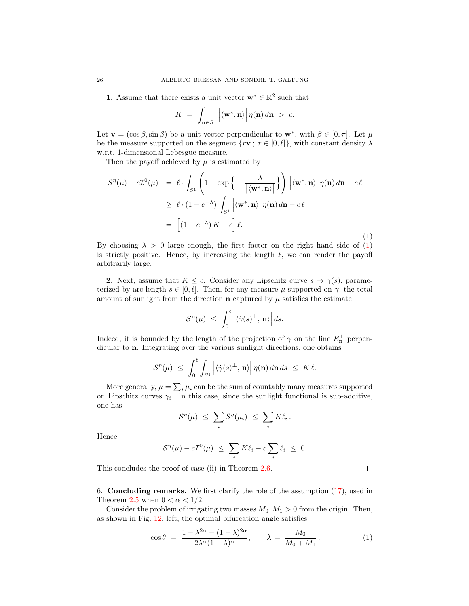**1.** Assume that there exists a unit vector  $\mathbf{w}^* \in \mathbb{R}^2$  such that

$$
K = \int_{\mathbf{n} \in S^1} \left| \langle \mathbf{w}^*, \mathbf{n} \rangle \right| \eta(\mathbf{n}) \, d\mathbf{n} > c.
$$

Let  $\mathbf{v} = (\cos \beta, \sin \beta)$  be a unit vector perpendicular to  $\mathbf{w}^*$ , with  $\beta \in [0, \pi]$ . Let  $\mu$ be the measure supported on the segment  $\{r\mathbf{v}; r \in [0,\ell]\},\$  with constant density  $\lambda$ w.r.t. 1-dimensional Lebesgue measure.

Then the payoff achieved by  $\mu$  is estimated by

<span id="page-25-1"></span>
$$
\mathcal{S}^{\eta}(\mu) - c\mathcal{I}^{0}(\mu) = \ell \cdot \int_{S^{1}} \left( 1 - \exp\left\{ -\frac{\lambda}{|\langle \mathbf{w}^{*}, \mathbf{n} \rangle|} \right\} \right) \left| \langle \mathbf{w}^{*}, \mathbf{n} \rangle \right| \eta(\mathbf{n}) d\mathbf{n} - c\ell
$$
  
\n
$$
\geq \ell \cdot (1 - e^{-\lambda}) \int_{S^{1}} \left| \langle \mathbf{w}^{*}, \mathbf{n} \rangle \right| \eta(\mathbf{n}) d\mathbf{n} - c\ell
$$
  
\n
$$
= \left[ (1 - e^{-\lambda}) K - c \right] \ell.
$$
 (1)

By choosing  $\lambda > 0$  large enough, the first factor on the right hand side of [\(1\)](#page-25-1) is strictly positive. Hence, by increasing the length  $\ell$ , we can render the payoff arbitrarily large.

**2.** Next, assume that  $K \leq c$ . Consider any Lipschitz curve  $s \mapsto \gamma(s)$ , parameterized by arc-length  $s \in [0, \ell]$ . Then, for any measure  $\mu$  supported on  $\gamma$ , the total amount of sunlight from the direction **n** captured by  $\mu$  satisfies the estimate

$$
\mathcal{S}^{\mathbf{n}}(\mu) \ \leq \ \int_0^\ell \left| \langle \dot{\gamma}(s)^\perp, \, \mathbf{n} \rangle \right| ds.
$$

Indeed, it is bounded by the length of the projection of  $\gamma$  on the line  $E_{\mathbf{n}}^{\perp}$  perpendicular to n. Integrating over the various sunlight directions, one obtains

$$
\mathcal{S}^{\eta}(\mu) \ \leq \ \int_0^{\ell} \int_{S^1} \left| \langle \dot{\gamma}(s)^{\perp}, \, \mathbf{n} \rangle \right| \eta(\mathbf{n}) \, d\mathbf{n} \, ds \ \leq \ K \, \ell.
$$

More generally,  $\mu = \sum_i \mu_i$  can be the sum of countably many measures supported on Lipschitz curves  $\gamma_i$ . In this case, since the sunlight functional is sub-additive, one has

$$
\mathcal{S}^{\eta}(\mu) \ \leq \ \sum_{i} \mathcal{S}^{\eta}(\mu_i) \ \leq \ \sum_{i} K \ell_i \, .
$$

Hence

$$
S^{\eta}(\mu) - c\mathcal{I}^{0}(\mu) \leq \sum_{i} K\ell_{i} - c\sum_{i} \ell_{i} \leq 0.
$$

This concludes the proof of case (ii) in Theorem [2.6.](#page-6-1)

<span id="page-25-0"></span>6. Concluding remarks. We first clarify the role of the assumption [\(17\)](#page-4-3), used in Theorem [2.5](#page-4-0) when  $0 < \alpha < 1/2$ .

Consider the problem of irrigating two masses  $M_0, M_1 > 0$  from the origin. Then, as shown in Fig. [12,](#page-27-0) left, the optimal bifurcation angle satisfies

$$
\cos \theta = \frac{1 - \lambda^{2\alpha} - (1 - \lambda)^{2\alpha}}{2\lambda^{\alpha}(1 - \lambda)^{\alpha}}, \qquad \lambda = \frac{M_0}{M_0 + M_1}.
$$
 (1)

 $\Box$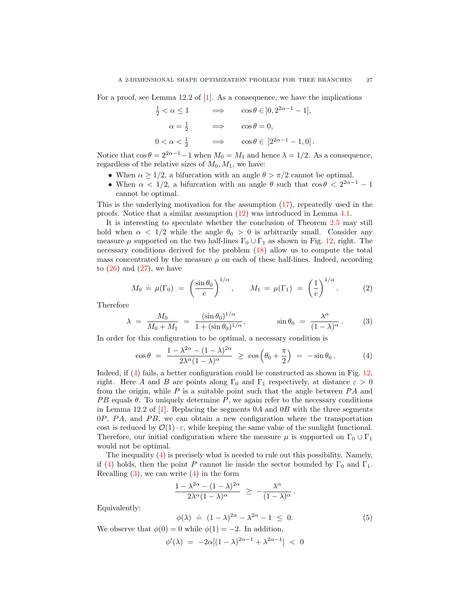For a proof, see Lemma 12.2 of [\[1\]](#page-28-2). As a consequence, we have the implications

$$
\frac{1}{2} < \alpha \le 1 \qquad \Longrightarrow \qquad \cos \theta \in ]0, 2^{2\alpha - 1} - 1],
$$
  
\n
$$
\alpha = \frac{1}{2} \qquad \Longrightarrow \qquad \cos \theta = 0,
$$
  
\n
$$
0 < \alpha < \frac{1}{2} \qquad \Longrightarrow \qquad \cos \theta \in [2^{2\alpha - 1} - 1, 0].
$$

Notice that  $\cos \theta = 2^{2\alpha - 1} - 1$  when  $M_0 = M_1$  and hence  $\lambda = 1/2$ . As a consequence, regardless of the relative sizes of  $M_0, M_1$ , we have:

- When  $\alpha \geq 1/2$ , a bifurcation with an angle  $\theta > \pi/2$  cannot be optimal.
- When  $\alpha < 1/2$ , a bifurcation with an angle  $\theta$  such that  $\cos \theta < 2^{2\alpha-1} 1$ cannot be optimal.

This is the underlying motivation for the assumption [\(17\)](#page-4-3), repeatedly used in the proofs. Notice that a similar assumption [\(12\)](#page-18-0) was introduced in Lemma [4.1.](#page-15-3)

It is interesting to speculate whether the conclusion of Theorem [2.5](#page-4-0) may still hold when  $\alpha < 1/2$  while the angle  $\theta_0 > 0$  is arbitrarily small. Consider any measure  $\mu$  supported on the two half-lines  $\Gamma_0 \cup \Gamma_1$  as shown in Fig. [12,](#page-27-0) right. The necessary conditions derived for the problem [\(18\)](#page-5-0) allow us to compute the total mass concentrated by the measure  $\mu$  on each of these half-lines. Indeed, according to  $(26)$  and  $(27)$ , we have

$$
M_0 \doteq \mu(\Gamma_0) = \left(\frac{\sin \theta_0}{c}\right)^{1/\alpha}, \qquad M_1 = \mu(\Gamma_1) = \left(\frac{1}{c}\right)^{1/\alpha}.
$$
 (2)

Therefore

<span id="page-26-1"></span>
$$
\lambda = \frac{M_0}{M_0 + M_1} = \frac{(\sin \theta_0)^{1/\alpha}}{1 + (\sin \theta_0)^{1/\alpha}}, \qquad \sin \theta_0 = \frac{\lambda^{\alpha}}{(1 - \lambda)^{\alpha}}.
$$
 (3)

In order for this configuration to be optimal, a necessary condition is

<span id="page-26-0"></span>
$$
\cos \theta = \frac{1 - \lambda^{2\alpha} - (1 - \lambda)^{2\alpha}}{2\lambda^{\alpha} (1 - \lambda)^{\alpha}} \ge \cos \left( \theta_0 + \frac{\pi}{2} \right) = -\sin \theta_0.
$$
 (4)

Indeed, if [\(4\)](#page-26-0) fails, a better configuration could be constructed as shown in Fig. [12,](#page-27-0) right. Here A and B are points along  $\Gamma_0$  and  $\Gamma_1$  respectively, at distance  $\varepsilon > 0$ from the origin, while  $P$  is a suitable point such that the angle between  $PA$  and  $PB$  equals  $\theta$ . To uniquely determine P, we again refer to the necessary conditions in Lemma 12.2 of [\[1\]](#page-28-2). Replacing the segments  $0\overline{A}$  and  $0\overline{B}$  with the three segments  $0P$ ,  $PA$ , and  $PB$ , we can obtain a new configuration where the transportation cost is reduced by  $\mathcal{O}(1) \cdot \varepsilon$ , while keeping the same value of the sunlight functional. Therefore, our initial configuration where the measure  $\mu$  is supported on  $\Gamma_0 \cup \Gamma_1$ would not be optimal.

The inequality [\(4\)](#page-26-0) is precisely what is needed to rule out this possibility. Namely, if [\(4\)](#page-26-0) holds, then the point P cannot lie inside the sector bounded by  $\Gamma_0$  and  $\Gamma_1$ . Recalling  $(3)$ , we can write  $(4)$  in the form

$$
\frac{1-\lambda^{2\alpha}-(1-\lambda)^{2\alpha}}{2\lambda^\alpha(1-\lambda)^\alpha}~\geq~-\frac{\lambda^\alpha}{(1-\lambda)^\alpha}\,.
$$

Equivalently:

<span id="page-26-2"></span>
$$
\phi(\lambda) = (1 - \lambda)^{2\alpha} - \lambda^{2\alpha} - 1 \leq 0.
$$
\n(5)

We observe that  $\phi(0) = 0$  while  $\phi(1) = -2$ . In addition,

$$
\phi'(\lambda) = -2\alpha[(1-\lambda)^{2\alpha-1} + \lambda^{2\alpha-1}] < 0
$$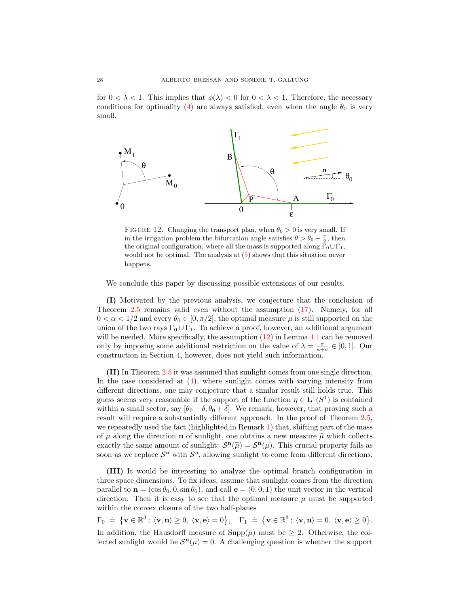for  $0 < \lambda < 1$ . This implies that  $\phi(\lambda) < 0$  for  $0 < \lambda < 1$ . Therefore, the necessary conditions for optimality [\(4\)](#page-26-0) are always satisfied, even when the angle  $\theta_0$  is very small.



<span id="page-27-0"></span>FIGURE 12. Changing the transport plan, when  $\theta_0 > 0$  is very small. If in the irrigation problem the bifurcation angle satisfies  $\theta > \theta_0 + \frac{\pi}{2}$ , then the original configuration, where all the mass is supported along  $\Gamma_0 \cup \Gamma_1$ , would not be optimal. The analysis at  $(5)$  shows that this situation never happens.

We conclude this paper by discussing possible extensions of our results.

(I) Motivated by the previous analysis, we conjecture that the conclusion of Theorem [2.5](#page-4-0) remains valid even without the assumption [\(17\)](#page-4-3). Namely, for all  $0 < \alpha < 1/2$  and every  $\theta_0 \in [0, \pi/2]$ , the optimal measure  $\mu$  is still supported on the union of the two rays  $\Gamma_0 \cup \Gamma_1$ . To achieve a proof, however, an additional argument will be needed. More specifically, the assumption  $(12)$  in Lemma [4.1](#page-15-3) can be removed only by imposing some additional restriction on the value of  $\lambda = \frac{\sigma}{\kappa + \sigma} \in [0, 1]$ . Our construction in Section 4, however, does not yield such information.

(II) In Theorem [2.5](#page-4-0) it was assumed that sunlight comes from one single direction. In the case considered at [\(4\)](#page-1-1), where sunlight comes with varying intensity from different directions, one may conjecture that a similar result still holds true. This guess seems very reasonable if the support of the function  $\eta \in L^1(S^1)$  is contained within a small sector, say  $[\theta_0 - \delta, \theta_0 + \delta]$ . We remark, however, that proving such a result will require a substantially different approach. In the proof of Theorem [2.5,](#page-4-0) we repeatedly used the fact (highlighted in Remark [1\)](#page-2-4) that, shifting part of the mass of  $\mu$  along the direction **n** of sunlight, one obtains a new measure  $\tilde{\mu}$  which collects exactly the same amount of sunlight:  $S^n(\tilde{\mu}) = S^n(\mu)$ . This crucial property fails as soon as we replace  $S<sup>n</sup>$  with  $S<sup>\eta</sup>$ , allowing sunlight to come from different directions.

(III) It would be interesting to analyze the optimal branch configuration in three space dimensions. To fix ideas, assume that sunlight comes from the direction parallel to  $\mathbf{n} = (\cos \theta_0, 0, \sin \theta_0)$ , and call  $\mathbf{e} = (0, 0, 1)$  the unit vector in the vertical direction. Then it is easy to see that the optimal measure  $\mu$  must be supported within the convex closure of the two half-planes

 $\Gamma_0 \ \doteq \ \big\{ \mathbf{v} \in \mathbb{R}^3 \, ; \, \langle \mathbf{v}, \mathbf{n} \rangle \geq 0, \, \langle \mathbf{v}, \mathbf{e} \rangle = 0 \big\}, \quad \Gamma_1 \ \doteq \ \big\{ \mathbf{v} \in \mathbb{R}^3 \, ; \, \langle \mathbf{v}, \mathbf{n} \rangle = 0, \, \langle \mathbf{v}, \mathbf{e} \rangle \geq 0 \big\}.$ In addition, the Hausdorff measure of  $\text{Supp}(\mu)$  must be  $\geq 2$ . Otherwise, the collected sunlight would be  $S<sup>n</sup>(\mu) = 0$ . A challenging question is whether the support